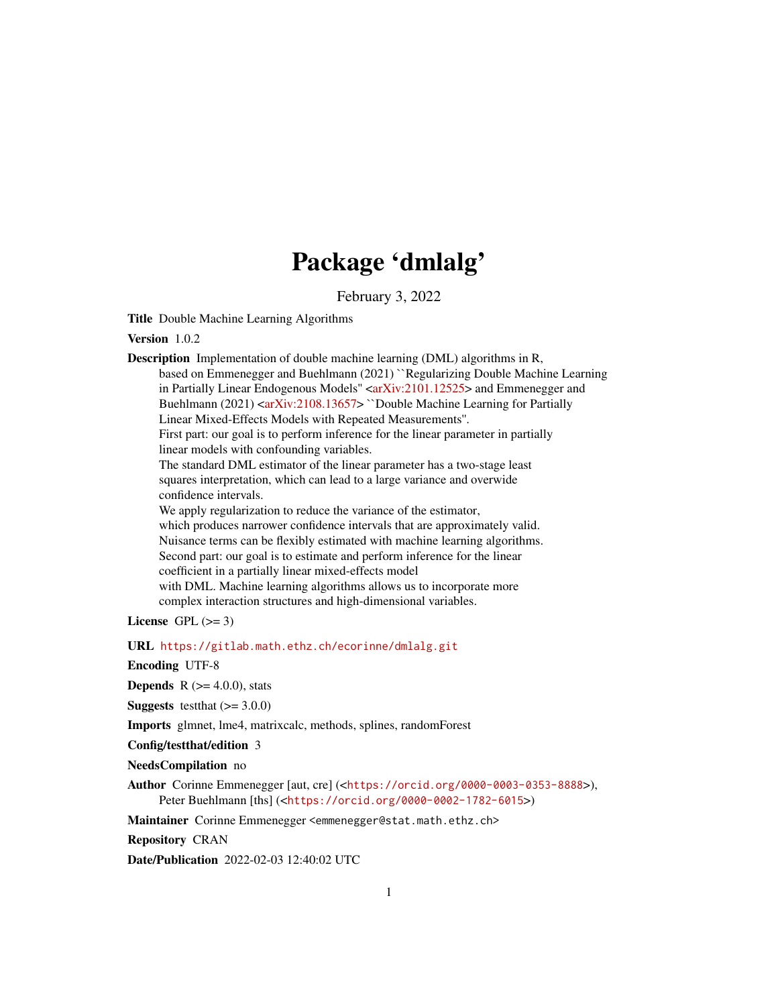# Package 'dmlalg'

February 3, 2022

<span id="page-0-0"></span>Title Double Machine Learning Algorithms

Version 1.0.2

Description Implementation of double machine learning (DML) algorithms in R, based on Emmenegger and Buehlmann (2021) ``Regularizing Double Machine Learning in Partially Linear Endogenous Models" [<arXiv:2101.12525>](https://arxiv.org/abs/2101.12525) and Emmenegger and Buehlmann (2021) [<arXiv:2108.13657>](https://arxiv.org/abs/2108.13657) ``Double Machine Learning for Partially Linear Mixed-Effects Models with Repeated Measurements''. First part: our goal is to perform inference for the linear parameter in partially linear models with confounding variables. The standard DML estimator of the linear parameter has a two-stage least squares interpretation, which can lead to a large variance and overwide confidence intervals. We apply regularization to reduce the variance of the estimator, which produces narrower confidence intervals that are approximately valid. Nuisance terms can be flexibly estimated with machine learning algorithms. Second part: our goal is to estimate and perform inference for the linear coefficient in a partially linear mixed-effects model with DML. Machine learning algorithms allows us to incorporate more complex interaction structures and high-dimensional variables.

License GPL  $(>= 3)$ 

URL <https://gitlab.math.ethz.ch/ecorinne/dmlalg.git>

Encoding UTF-8

**Depends** R  $(>= 4.0.0)$ , stats

**Suggests** testthat  $(>= 3.0.0)$ 

Imports glmnet, lme4, matrixcalc, methods, splines, randomForest

Config/testthat/edition 3

NeedsCompilation no

Author Corinne Emmenegger [aut, cre] (<<https://orcid.org/0000-0003-0353-8888>>), Peter Buehlmann [ths] (<<https://orcid.org/0000-0002-1782-6015>>)

Maintainer Corinne Emmenegger <emmenegger@stat.math.ethz.ch>

Repository CRAN

Date/Publication 2022-02-03 12:40:02 UTC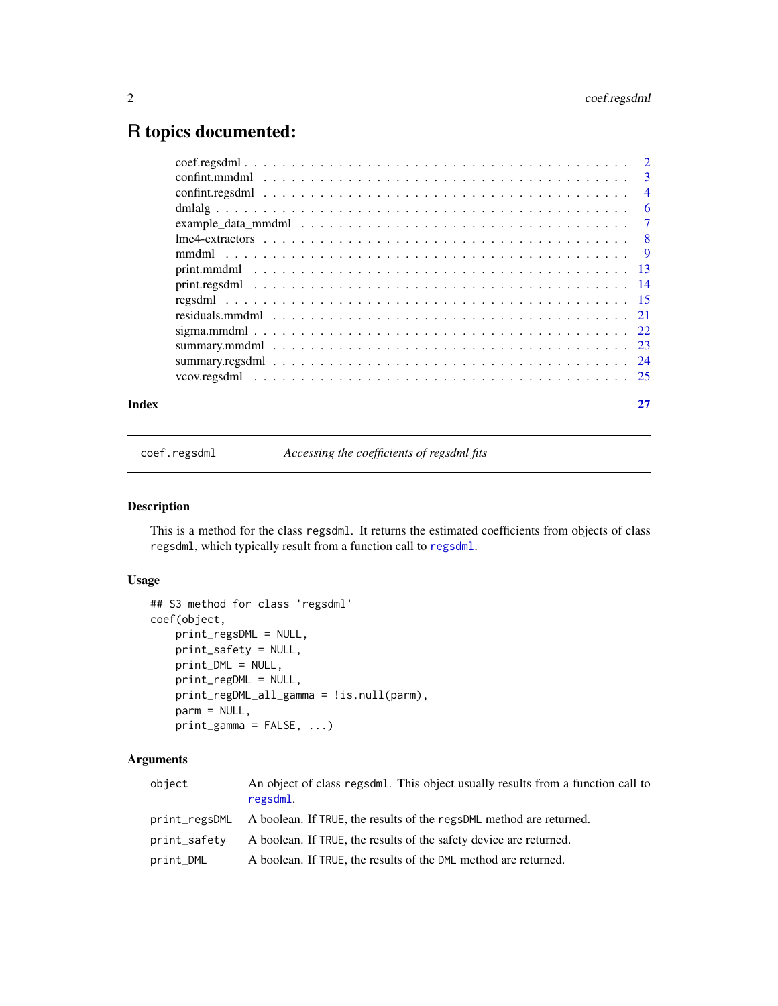# <span id="page-1-0"></span>R topics documented:

| Index |  |
|-------|--|
|       |  |
|       |  |
|       |  |
|       |  |
|       |  |
|       |  |
|       |  |
|       |  |
|       |  |
|       |  |
|       |  |
|       |  |
|       |  |
|       |  |
|       |  |

<span id="page-1-1"></span>coef.regsdml *Accessing the coefficients of regsdml fits*

# Description

This is a method for the class regsdml. It returns the estimated coefficients from objects of class regsdml, which typically result from a function call to [regsdml](#page-14-1).

# Usage

```
## S3 method for class 'regsdml'
coef(object,
   print_regsDML = NULL,
   print_safety = NULL,
   print_DML = NULL,
   print_regDML = NULL,
   print_regDML_all_gamma = !is.null(parm),
   parm = NULL,
   print_gamma = FALSE, ...)
```
# Arguments

| object        | An object of class regsdml. This object usually results from a function call to<br>regsdml. |
|---------------|---------------------------------------------------------------------------------------------|
| print_regsDML | A boolean. If TRUE, the results of the regsDML method are returned.                         |
| print_safety  | A boolean. If TRUE, the results of the safety device are returned.                          |
| print_DML     | A boolean. If TRUE, the results of the DML method are returned.                             |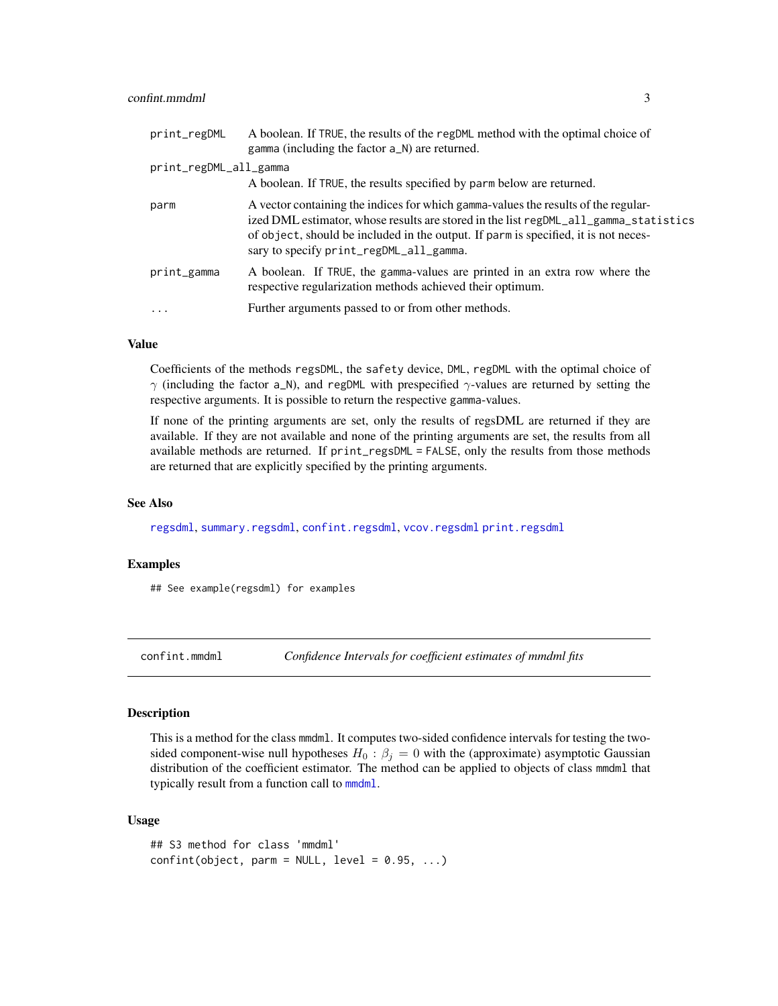# <span id="page-2-0"></span>confint.mmdml 3

| print_regDML           | A boolean. If TRUE, the results of the regDML method with the optimal choice of<br>gamma (including the factor a_N) are returned.                                                                                                                                                                            |
|------------------------|--------------------------------------------------------------------------------------------------------------------------------------------------------------------------------------------------------------------------------------------------------------------------------------------------------------|
| print_regDML_all_gamma |                                                                                                                                                                                                                                                                                                              |
|                        | A boolean. If TRUE, the results specified by parm below are returned.                                                                                                                                                                                                                                        |
| parm                   | A vector containing the indices for which gamma-values the results of the regular-<br>ized DML estimator, whose results are stored in the list regDML_all_gamma_statistics<br>of object, should be included in the output. If parm is specified, it is not neces-<br>sary to specify print_regDML_all_gamma. |
| print_gamma            | A boolean. If TRUE, the gamma-values are printed in an extra row where the<br>respective regularization methods achieved their optimum.                                                                                                                                                                      |
| $\cdots$               | Further arguments passed to or from other methods.                                                                                                                                                                                                                                                           |

#### Value

Coefficients of the methods regsDML, the safety device, DML, regDML with the optimal choice of  $\gamma$  (including the factor a\_N), and regDML with prespecified  $\gamma$ -values are returned by setting the respective arguments. It is possible to return the respective gamma-values.

If none of the printing arguments are set, only the results of regsDML are returned if they are available. If they are not available and none of the printing arguments are set, the results from all available methods are returned. If print\_regsDML = FALSE, only the results from those methods are returned that are explicitly specified by the printing arguments.

#### See Also

[regsdml](#page-14-1), [summary.regsdml](#page-23-1), [confint.regsdml](#page-3-1), [vcov.regsdml](#page-24-1) [print.regsdml](#page-13-1)

# Examples

## See example(regsdml) for examples

<span id="page-2-1"></span>confint.mmdml *Confidence Intervals for coefficient estimates of mmdml fits*

#### Description

This is a method for the class mmdml. It computes two-sided confidence intervals for testing the twosided component-wise null hypotheses  $H_0$ :  $\beta_j = 0$  with the (approximate) asymptotic Gaussian distribution of the coefficient estimator. The method can be applied to objects of class mmdml that typically result from a function call to [mmdml](#page-8-1).

#### Usage

```
## S3 method for class 'mmdml'
confint(object, parm = NULL, level = 0.95, ...)
```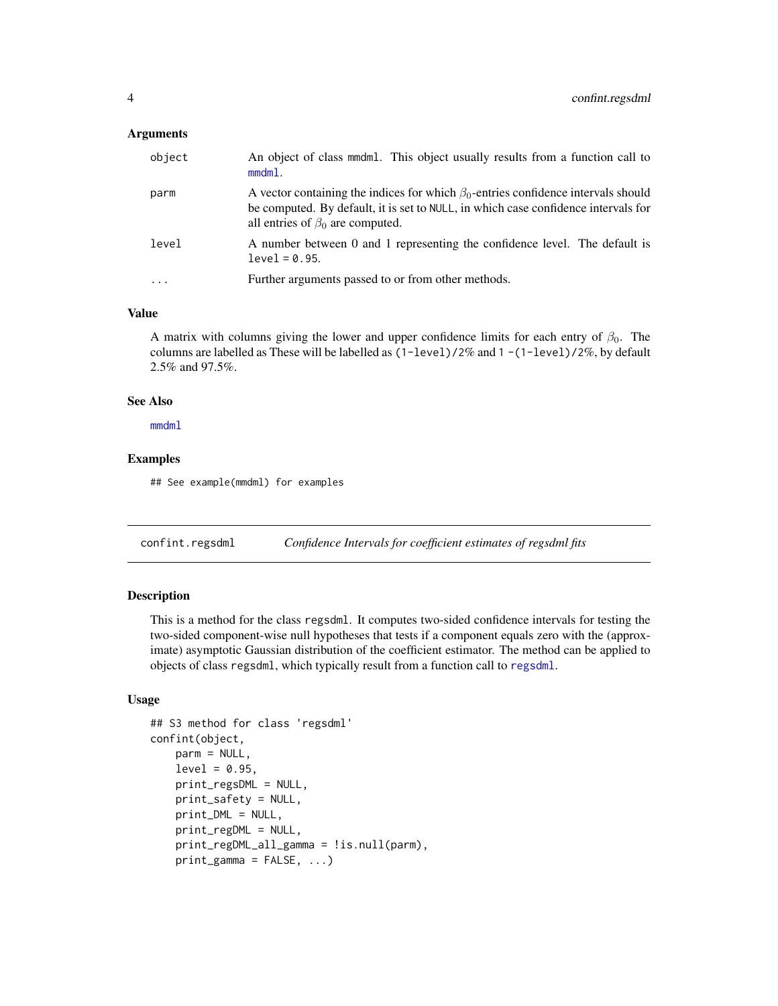#### <span id="page-3-0"></span>**Arguments**

| object | An object of class mmdml. This object usually results from a function call to<br>$mmdm1$ .                                                                                                                               |
|--------|--------------------------------------------------------------------------------------------------------------------------------------------------------------------------------------------------------------------------|
| parm   | A vector containing the indices for which $\beta_0$ -entries confidence intervals should<br>be computed. By default, it is set to NULL, in which case confidence intervals for<br>all entries of $\beta_0$ are computed. |
| level  | A number between 0 and 1 representing the confidence level. The default is<br>$level = 0.95.$                                                                                                                            |
|        | Further arguments passed to or from other methods.                                                                                                                                                                       |

# Value

A matrix with columns giving the lower and upper confidence limits for each entry of  $\beta_0$ . The columns are labelled as These will be labelled as  $(1 - level)/2\%$  and  $1 - (1 - level)/2\%$ , by default 2.5% and 97.5%.

#### See Also

[mmdml](#page-8-1)

# Examples

## See example(mmdml) for examples

<span id="page-3-1"></span>confint.regsdml *Confidence Intervals for coefficient estimates of regsdml fits*

# Description

This is a method for the class regsdml. It computes two-sided confidence intervals for testing the two-sided component-wise null hypotheses that tests if a component equals zero with the (approximate) asymptotic Gaussian distribution of the coefficient estimator. The method can be applied to objects of class regsdml, which typically result from a function call to [regsdml](#page-14-1).

# Usage

```
## S3 method for class 'regsdml'
confint(object,
   parm = NULL,
    level = 0.95,
    print_regsDML = NULL,
    print_safety = NULL,
    print_DML = NULL,
    print_regDML = NULL,
    print_regDML_all_gamma = !is.null(parm),
    print_{gamma} = FALSE, ...
```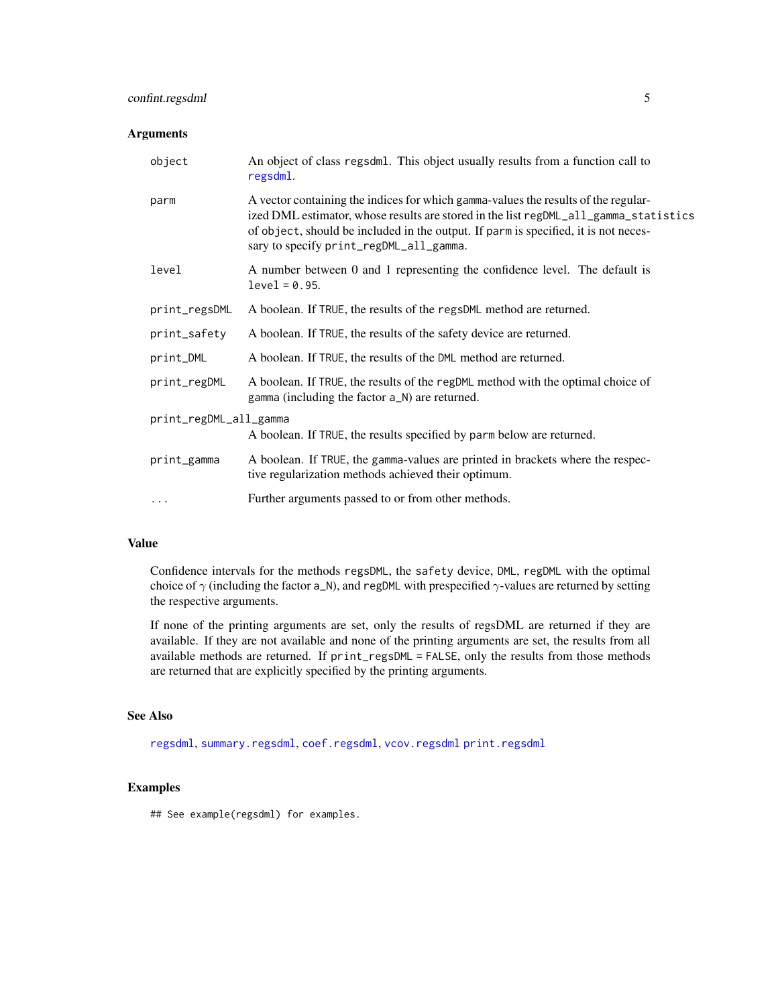# <span id="page-4-0"></span>confint.regsdml 5

# Arguments

| object                 | An object of class regsdml. This object usually results from a function call to<br>regsdml.                                                                                                                                                                                                                  |  |
|------------------------|--------------------------------------------------------------------------------------------------------------------------------------------------------------------------------------------------------------------------------------------------------------------------------------------------------------|--|
| parm                   | A vector containing the indices for which gamma-values the results of the regular-<br>ized DML estimator, whose results are stored in the list regDML_all_gamma_statistics<br>of object, should be included in the output. If parm is specified, it is not neces-<br>sary to specify print_regDML_all_gamma. |  |
| level                  | A number between 0 and 1 representing the confidence level. The default is<br>$level = 0.95.$                                                                                                                                                                                                                |  |
| print_regsDML          | A boolean. If TRUE, the results of the regsDML method are returned.                                                                                                                                                                                                                                          |  |
| print_safety           | A boolean. If TRUE, the results of the safety device are returned.                                                                                                                                                                                                                                           |  |
| print_DML              | A boolean. If TRUE, the results of the DML method are returned.                                                                                                                                                                                                                                              |  |
| print_regDML           | A boolean. If TRUE, the results of the regDML method with the optimal choice of<br>gamma (including the factor a_N) are returned.                                                                                                                                                                            |  |
| print_regDML_all_gamma |                                                                                                                                                                                                                                                                                                              |  |
|                        | A boolean. If TRUE, the results specified by parm below are returned.                                                                                                                                                                                                                                        |  |
| print_gamma            | A boolean. If TRUE, the gamma-values are printed in brackets where the respec-<br>tive regularization methods achieved their optimum.                                                                                                                                                                        |  |
| $\cdots$               | Further arguments passed to or from other methods.                                                                                                                                                                                                                                                           |  |

# Value

Confidence intervals for the methods regsDML, the safety device, DML, regDML with the optimal choice of  $\gamma$  (including the factor a\_N), and regDML with prespecified  $\gamma$ -values are returned by setting the respective arguments.

If none of the printing arguments are set, only the results of regsDML are returned if they are available. If they are not available and none of the printing arguments are set, the results from all available methods are returned. If print\_regsDML = FALSE, only the results from those methods are returned that are explicitly specified by the printing arguments.

# See Also

[regsdml](#page-14-1), [summary.regsdml](#page-23-1), [coef.regsdml](#page-1-1), [vcov.regsdml](#page-24-1) [print.regsdml](#page-13-1)

#### Examples

## See example(regsdml) for examples.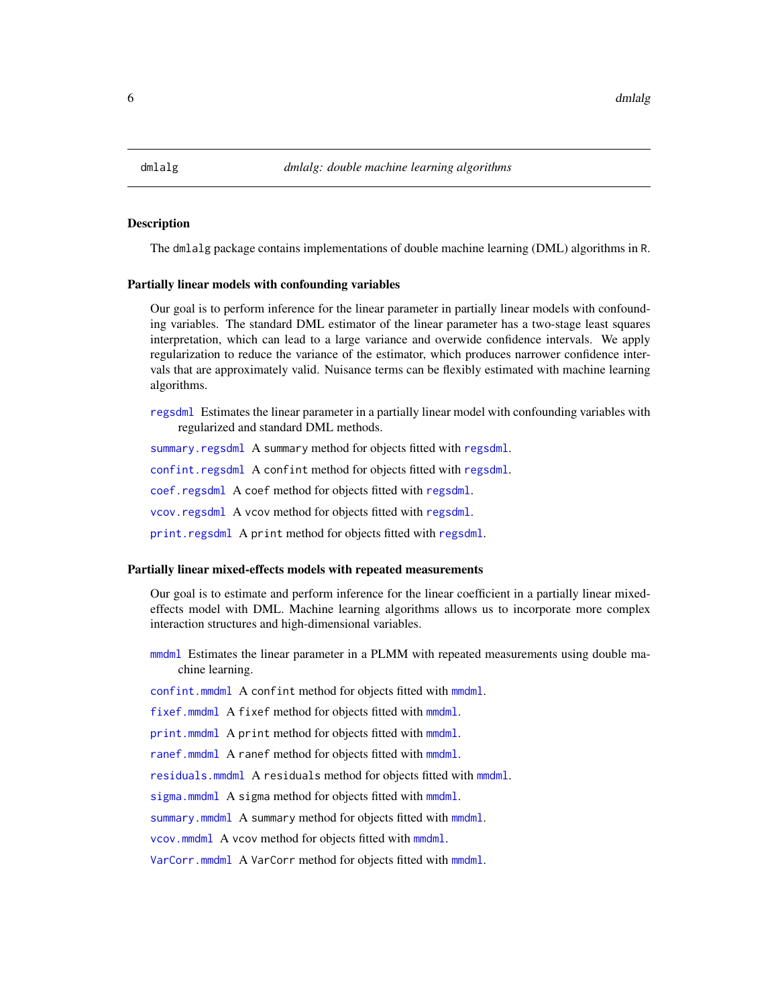<span id="page-5-0"></span>

#### Description

The dmlalg package contains implementations of double machine learning (DML) algorithms in R.

#### Partially linear models with confounding variables

Our goal is to perform inference for the linear parameter in partially linear models with confounding variables. The standard DML estimator of the linear parameter has a two-stage least squares interpretation, which can lead to a large variance and overwide confidence intervals. We apply regularization to reduce the variance of the estimator, which produces narrower confidence intervals that are approximately valid. Nuisance terms can be flexibly estimated with machine learning algorithms.

[regsdml](#page-14-1) Estimates the linear parameter in a partially linear model with confounding variables with regularized and standard DML methods.

[summary.regsdml](#page-23-1) A summary method for objects fitted with [regsdml](#page-14-1).

[confint.regsdml](#page-3-1) A confint method for objects fitted with [regsdml](#page-14-1).

[coef.regsdml](#page-1-1) A coef method for objects fitted with [regsdml](#page-14-1).

[vcov.regsdml](#page-24-1) A vcov method for objects fitted with [regsdml](#page-14-1).

[print.regsdml](#page-13-1) A print method for objects fitted with [regsdml](#page-14-1).

#### Partially linear mixed-effects models with repeated measurements

Our goal is to estimate and perform inference for the linear coefficient in a partially linear mixedeffects model with DML. Machine learning algorithms allows us to incorporate more complex interaction structures and high-dimensional variables.

[mmdml](#page-8-1) Estimates the linear parameter in a PLMM with repeated measurements using double machine learning.

[confint.mmdml](#page-2-1) A confint method for objects fitted with [mmdml](#page-8-1).

[fixef.mmdml](#page-7-1) A fixef method for objects fitted with [mmdml](#page-8-1).

[print.mmdml](#page-12-1) A print method for objects fitted with [mmdml](#page-8-1).

[ranef.mmdml](#page-7-1) A ranef method for objects fitted with [mmdml](#page-8-1).

[residuals.mmdml](#page-20-1) A residuals method for objects fitted with [mmdml](#page-8-1).

[sigma.mmdml](#page-21-1) A sigma method for objects fitted with [mmdml](#page-8-1).

[summary.mmdml](#page-22-1) A summary method for objects fitted with [mmdml](#page-8-1).

[vcov.mmdml](#page-7-1) A vcov method for objects fitted with [mmdml](#page-8-1).

[VarCorr.mmdml](#page-7-1) A VarCorr method for objects fitted with [mmdml](#page-8-1).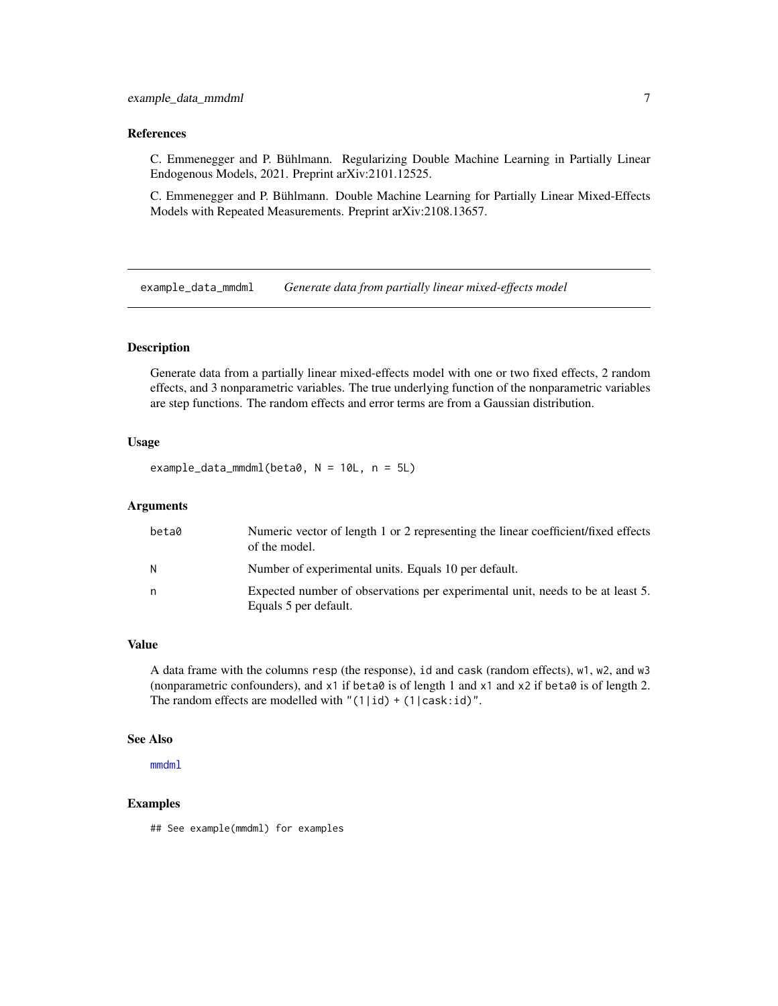#### <span id="page-6-0"></span>References

C. Emmenegger and P. Bühlmann. Regularizing Double Machine Learning in Partially Linear Endogenous Models, 2021. Preprint arXiv:2101.12525.

C. Emmenegger and P. Bühlmann. Double Machine Learning for Partially Linear Mixed-Effects Models with Repeated Measurements. Preprint arXiv:2108.13657.

example\_data\_mmdml *Generate data from partially linear mixed-effects model*

# Description

Generate data from a partially linear mixed-effects model with one or two fixed effects, 2 random effects, and 3 nonparametric variables. The true underlying function of the nonparametric variables are step functions. The random effects and error terms are from a Gaussian distribution.

# Usage

example\_data\_mmdml(beta0, N = 10L, n = 5L)

#### Arguments

| beta0 | Numeric vector of length 1 or 2 representing the linear coefficient/fixed effects<br>of the model.      |
|-------|---------------------------------------------------------------------------------------------------------|
| N     | Number of experimental units. Equals 10 per default.                                                    |
| n     | Expected number of observations per experimental unit, needs to be at least 5.<br>Equals 5 per default. |

# Value

A data frame with the columns resp (the response), id and cask (random effects), w1, w2, and w3 (nonparametric confounders), and x1 if beta0 is of length 1 and x1 and x2 if beta0 is of length 2. The random effects are modelled with " $(1|id) + (1|cast:id)$ ".

#### See Also

[mmdml](#page-8-1)

# Examples

## See example(mmdml) for examples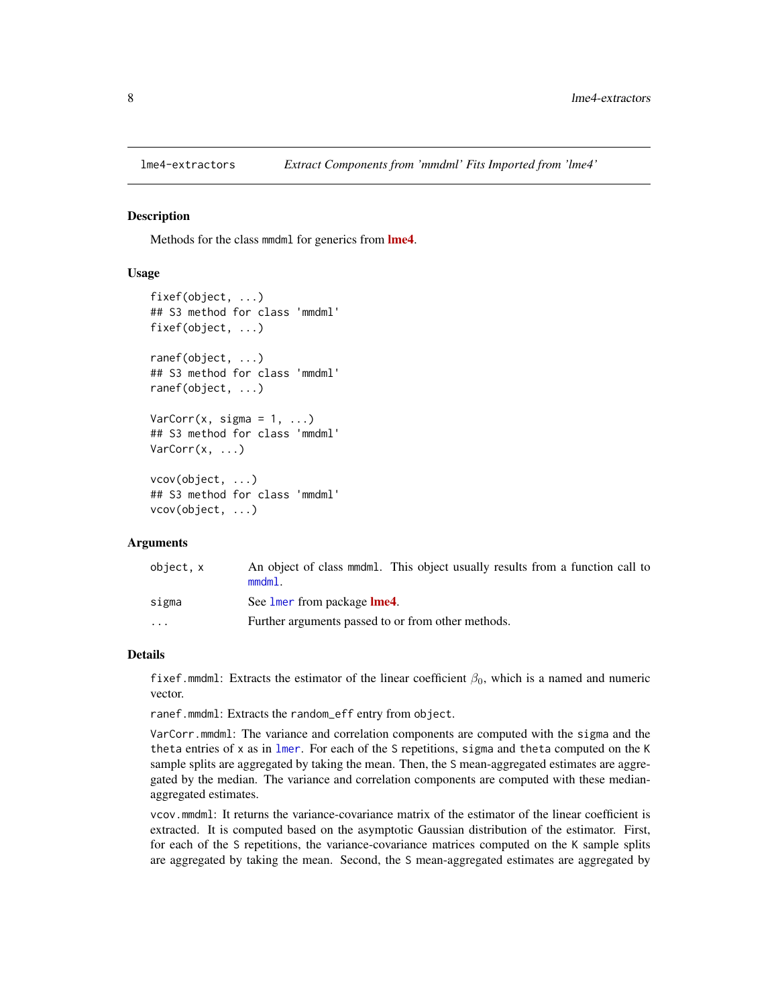<span id="page-7-0"></span>

# <span id="page-7-1"></span>Description

Methods for the class mmdml for generics from **[lme4](https://CRAN.R-project.org/package=lme4)**.

## Usage

```
fixef(object, ...)
## S3 method for class 'mmdml'
fixef(object, ...)
ranef(object, ...)
## S3 method for class 'mmdml'
ranef(object, ...)
VarCorr(x, sigma = 1, ...)## S3 method for class 'mmdml'
VarCorr(x, ...)
vcov(object, ...)
## S3 method for class 'mmdml'
vcov(object, ...)
```
#### Arguments

| object, x | An object of class mmdml. This object usually results from a function call to<br>$mmdm1$ . |
|-----------|--------------------------------------------------------------------------------------------|
| sigma     | See lmer from package <b>lme4</b> .                                                        |
| $\cdots$  | Further arguments passed to or from other methods.                                         |

#### Details

fixef.mmdml: Extracts the estimator of the linear coefficient  $\beta_0$ , which is a named and numeric vector.

ranef.mmdml: Extracts the random\_eff entry from object.

VarCorr.mmdml: The variance and correlation components are computed with the sigma and the theta entries of  $x$  as in [lmer](#page-0-0). For each of the S repetitions, sigma and theta computed on the K sample splits are aggregated by taking the mean. Then, the S mean-aggregated estimates are aggregated by the median. The variance and correlation components are computed with these medianaggregated estimates.

vcov.mmdml: It returns the variance-covariance matrix of the estimator of the linear coefficient is extracted. It is computed based on the asymptotic Gaussian distribution of the estimator. First, for each of the S repetitions, the variance-covariance matrices computed on the K sample splits are aggregated by taking the mean. Second, the S mean-aggregated estimates are aggregated by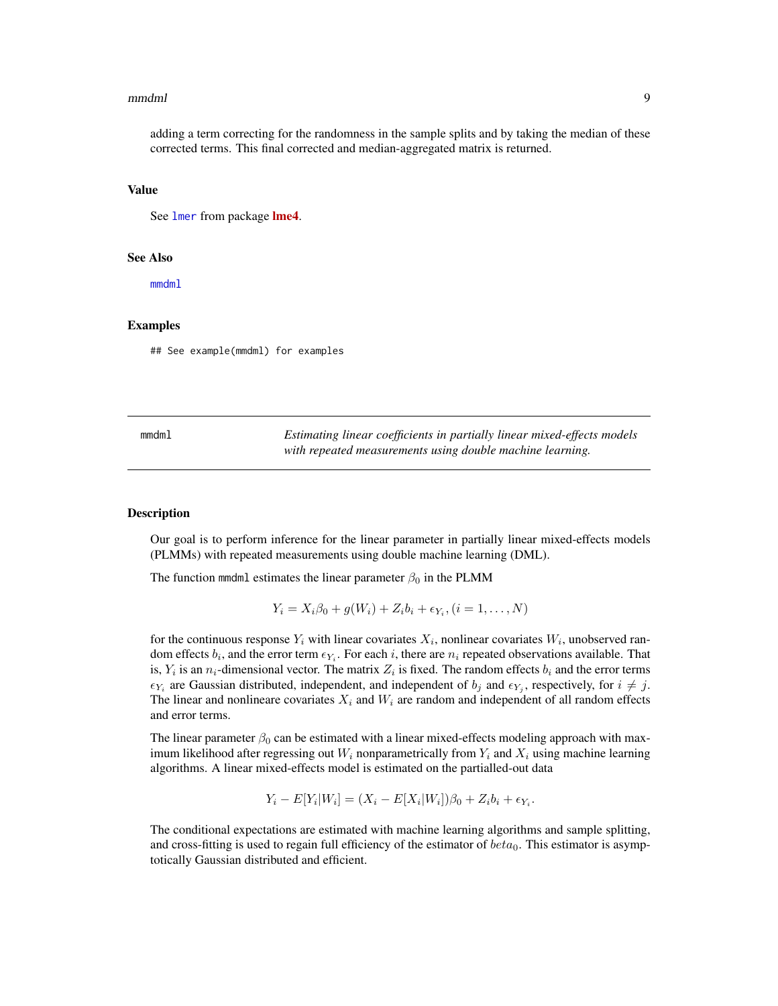#### <span id="page-8-0"></span>mmdml 9

#### Value

See [lmer](#page-0-0) from package [lme4](https://CRAN.R-project.org/package=lme4).

#### See Also

[mmdml](#page-8-1)

# Examples

## See example(mmdml) for examples

<span id="page-8-1"></span>

| mmdm1 | Estimating linear coefficients in partially linear mixed-effects models |
|-------|-------------------------------------------------------------------------|
|       | with repeated measurements using double machine learning.               |

# **Description**

Our goal is to perform inference for the linear parameter in partially linear mixed-effects models (PLMMs) with repeated measurements using double machine learning (DML).

The function mmdml estimates the linear parameter  $\beta_0$  in the PLMM

$$
Y_i = X_i \beta_0 + g(W_i) + Z_i b_i + \epsilon_{Y_i}, (i = 1, ..., N)
$$

for the continuous response  $Y_i$  with linear covariates  $X_i$ , nonlinear covariates  $W_i$ , unobserved random effects  $b_i$ , and the error term  $\epsilon_{Y_i}$ . For each i, there are  $n_i$  repeated observations available. That is,  $Y_i$  is an  $n_i$ -dimensional vector. The matrix  $Z_i$  is fixed. The random effects  $b_i$  and the error terms  $\epsilon_{Y_i}$  are Gaussian distributed, independent, and independent of  $b_j$  and  $\epsilon_{Y_j}$ , respectively, for  $i \neq j$ . The linear and nonlineare covariates  $X_i$  and  $W_i$  are random and independent of all random effects and error terms.

The linear parameter  $\beta_0$  can be estimated with a linear mixed-effects modeling approach with maximum likelihood after regressing out  $W_i$  nonparametrically from  $Y_i$  and  $X_i$  using machine learning algorithms. A linear mixed-effects model is estimated on the partialled-out data

$$
Y_i - E[Y_i|W_i] = (X_i - E[X_i|W_i])\beta_0 + Z_ib_i + \epsilon_{Y_i}.
$$

The conditional expectations are estimated with machine learning algorithms and sample splitting, and cross-fitting is used to regain full efficiency of the estimator of  $beta_0$ . This estimator is asymptotically Gaussian distributed and efficient.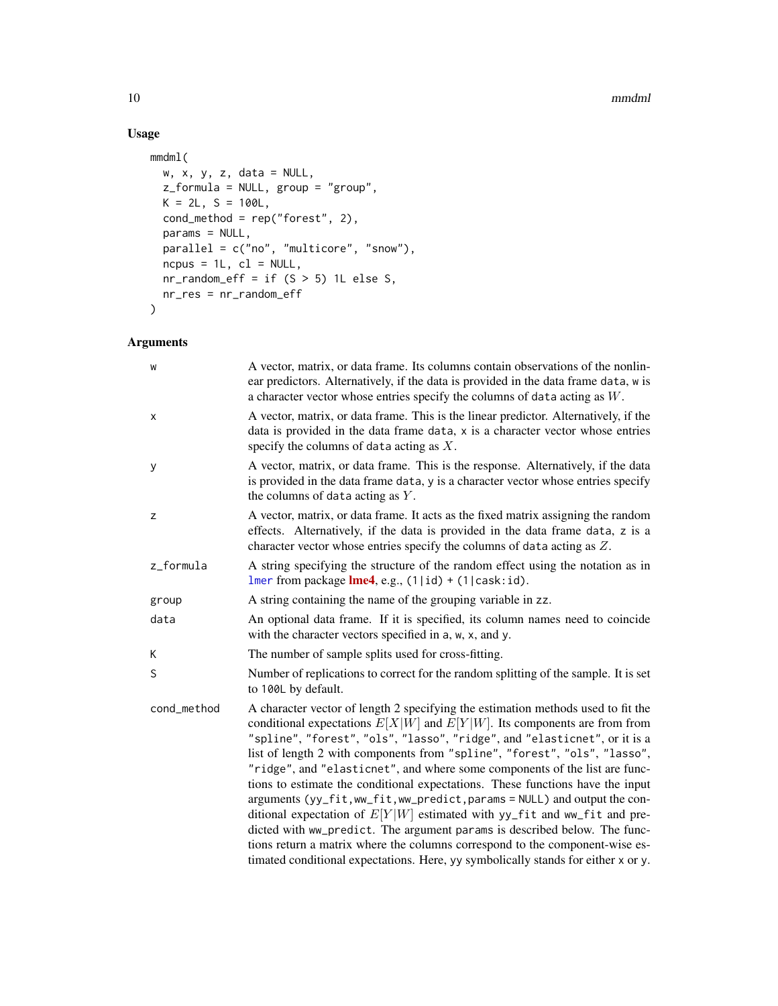#### 10 mmdml

# Usage

```
mmdml(
  w, x, y, z, data = NULL,
  z_formula = NULL, group = "group",
  K = 2L, S = 100L,cond_method = rep("forest", 2),
  params = NULL,
 parallel = c("no", "multicore", "snow"),
  ncpus = 1L, c1 = NULL,
  nr\_random\_eff = if (S > 5) 1L else S,nr_res = nr_random_eff
\mathcal{L}
```
# Arguments

| W           | A vector, matrix, or data frame. Its columns contain observations of the nonlin-<br>ear predictors. Alternatively, if the data is provided in the data frame data, w is<br>a character vector whose entries specify the columns of data acting as $W$ .                                                                                                                                                                                                                                                                                                                                                                                                                                                                                                                                                                                                                                                  |
|-------------|----------------------------------------------------------------------------------------------------------------------------------------------------------------------------------------------------------------------------------------------------------------------------------------------------------------------------------------------------------------------------------------------------------------------------------------------------------------------------------------------------------------------------------------------------------------------------------------------------------------------------------------------------------------------------------------------------------------------------------------------------------------------------------------------------------------------------------------------------------------------------------------------------------|
| X           | A vector, matrix, or data frame. This is the linear predictor. Alternatively, if the<br>data is provided in the data frame data, x is a character vector whose entries<br>specify the columns of data acting as $X$ .                                                                                                                                                                                                                                                                                                                                                                                                                                                                                                                                                                                                                                                                                    |
| у           | A vector, matrix, or data frame. This is the response. Alternatively, if the data<br>is provided in the data frame data, y is a character vector whose entries specify<br>the columns of data acting as $Y$ .                                                                                                                                                                                                                                                                                                                                                                                                                                                                                                                                                                                                                                                                                            |
| z           | A vector, matrix, or data frame. It acts as the fixed matrix assigning the random<br>effects. Alternatively, if the data is provided in the data frame data, z is a<br>character vector whose entries specify the columns of data acting as $Z$ .                                                                                                                                                                                                                                                                                                                                                                                                                                                                                                                                                                                                                                                        |
| z_formula   | A string specifying the structure of the random effect using the notation as in<br>Imer from package $\text{Im}e4$ , e.g., (1 id) + (1 cask:id).                                                                                                                                                                                                                                                                                                                                                                                                                                                                                                                                                                                                                                                                                                                                                         |
| group       | A string containing the name of the grouping variable in zz.                                                                                                                                                                                                                                                                                                                                                                                                                                                                                                                                                                                                                                                                                                                                                                                                                                             |
| data        | An optional data frame. If it is specified, its column names need to coincide<br>with the character vectors specified in a, w, x, and y.                                                                                                                                                                                                                                                                                                                                                                                                                                                                                                                                                                                                                                                                                                                                                                 |
| K           | The number of sample splits used for cross-fitting.                                                                                                                                                                                                                                                                                                                                                                                                                                                                                                                                                                                                                                                                                                                                                                                                                                                      |
| S           | Number of replications to correct for the random splitting of the sample. It is set<br>to 100L by default.                                                                                                                                                                                                                                                                                                                                                                                                                                                                                                                                                                                                                                                                                                                                                                                               |
| cond_method | A character vector of length 2 specifying the estimation methods used to fit the<br>conditional expectations $E[X W]$ and $E[Y W]$ . Its components are from from<br>"spline", "forest", "ols", "lasso", "ridge", and "elasticnet", or it is a<br>list of length 2 with components from "spline", "forest", "ols", "lasso",<br>"ridge", and "elasticnet", and where some components of the list are func-<br>tions to estimate the conditional expectations. These functions have the input<br>arguments (yy_fit, ww_fit, ww_predict, params = NULL) and output the con-<br>ditional expectation of $E[Y W]$ estimated with yy_fit and ww_fit and pre-<br>dicted with ww_predict. The argument params is described below. The func-<br>tions return a matrix where the columns correspond to the component-wise es-<br>timated conditional expectations. Here, yy symbolically stands for either x or y. |

<span id="page-9-0"></span>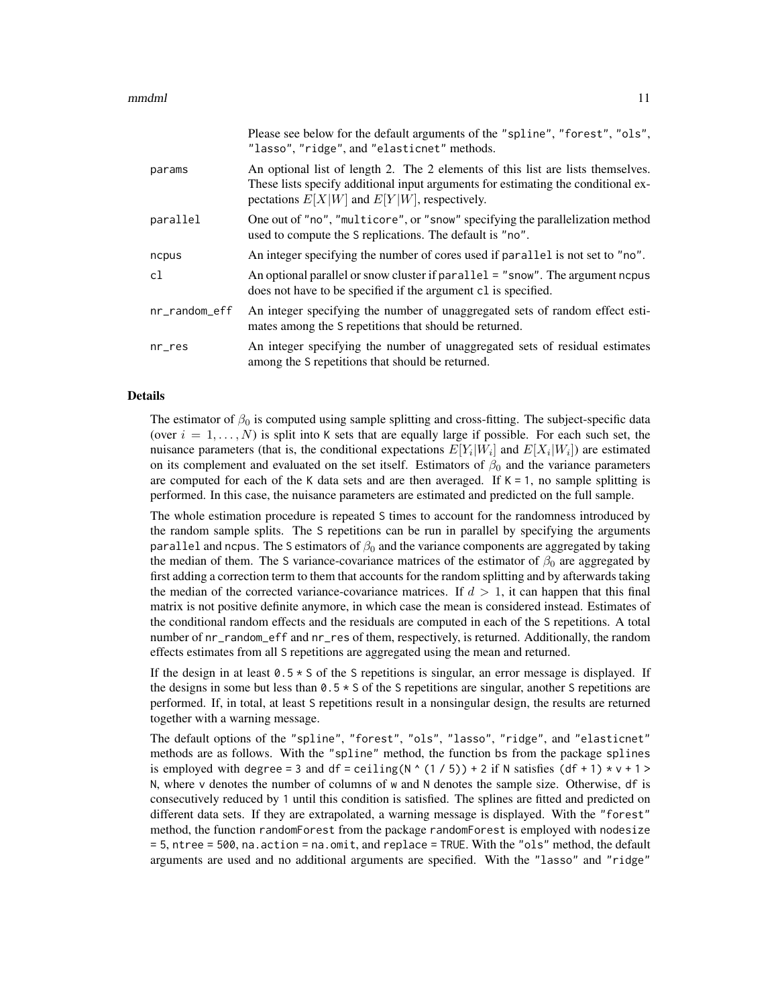|               | Please see below for the default arguments of the "spline", "forest", "ols",<br>"lasso", "ridge", and "elasticnet" methods.                                                                                              |
|---------------|--------------------------------------------------------------------------------------------------------------------------------------------------------------------------------------------------------------------------|
| params        | An optional list of length 2. The 2 elements of this list are lists themselves.<br>These lists specify additional input arguments for estimating the conditional ex-<br>pectations $E[X W]$ and $E[Y W]$ , respectively. |
| parallel      | One out of "no", "multicore", or "snow" specifying the parallelization method<br>used to compute the S replications. The default is "no".                                                                                |
| ncpus         | An integer specifying the number of cores used if parallel is not set to "no".                                                                                                                                           |
| cl            | An optional parallel or snow cluster if parallel = "snow". The argument nepus<br>does not have to be specified if the argument cl is specified.                                                                          |
| nr_random_eff | An integer specifying the number of unaggregated sets of random effect esti-<br>mates among the S repetitions that should be returned.                                                                                   |
| nr_res        | An integer specifying the number of unaggregated sets of residual estimates<br>among the S repetitions that should be returned.                                                                                          |

#### Details

The estimator of  $\beta_0$  is computed using sample splitting and cross-fitting. The subject-specific data (over  $i = 1, \ldots, N$ ) is split into K sets that are equally large if possible. For each such set, the nuisance parameters (that is, the conditional expectations  $E[Y_i|W_i]$  and  $E[X_i|W_i]$ ) are estimated on its complement and evaluated on the set itself. Estimators of  $\beta_0$  and the variance parameters are computed for each of the K data sets and are then averaged. If  $K = 1$ , no sample splitting is performed. In this case, the nuisance parameters are estimated and predicted on the full sample.

The whole estimation procedure is repeated S times to account for the randomness introduced by the random sample splits. The S repetitions can be run in parallel by specifying the arguments parallel and ncpus. The S estimators of  $\beta_0$  and the variance components are aggregated by taking the median of them. The S variance-covariance matrices of the estimator of  $\beta_0$  are aggregated by first adding a correction term to them that accounts for the random splitting and by afterwards taking the median of the corrected variance-covariance matrices. If  $d > 1$ , it can happen that this final matrix is not positive definite anymore, in which case the mean is considered instead. Estimates of the conditional random effects and the residuals are computed in each of the S repetitions. A total number of nr\_random\_eff and nr\_res of them, respectively, is returned. Additionally, the random effects estimates from all S repetitions are aggregated using the mean and returned.

If the design in at least  $0.5 \times S$  of the S repetitions is singular, an error message is displayed. If the designs in some but less than  $0.5 \times S$  of the S repetitions are singular, another S repetitions are performed. If, in total, at least S repetitions result in a nonsingular design, the results are returned together with a warning message.

The default options of the "spline", "forest", "ols", "lasso", "ridge", and "elasticnet" methods are as follows. With the "spline" method, the function bs from the package splines is employed with degree = 3 and df = ceiling( $N$   $(1 / 5)$ ) + 2 if N satisfies (df + 1) \* v + 1 > N, where v denotes the number of columns of w and N denotes the sample size. Otherwise, df is consecutively reduced by 1 until this condition is satisfied. The splines are fitted and predicted on different data sets. If they are extrapolated, a warning message is displayed. With the "forest" method, the function randomForest from the package randomForest is employed with nodesize = 5, ntree = 500, na.action = na.omit, and replace = TRUE. With the "ols" method, the default arguments are used and no additional arguments are specified. With the "lasso" and "ridge"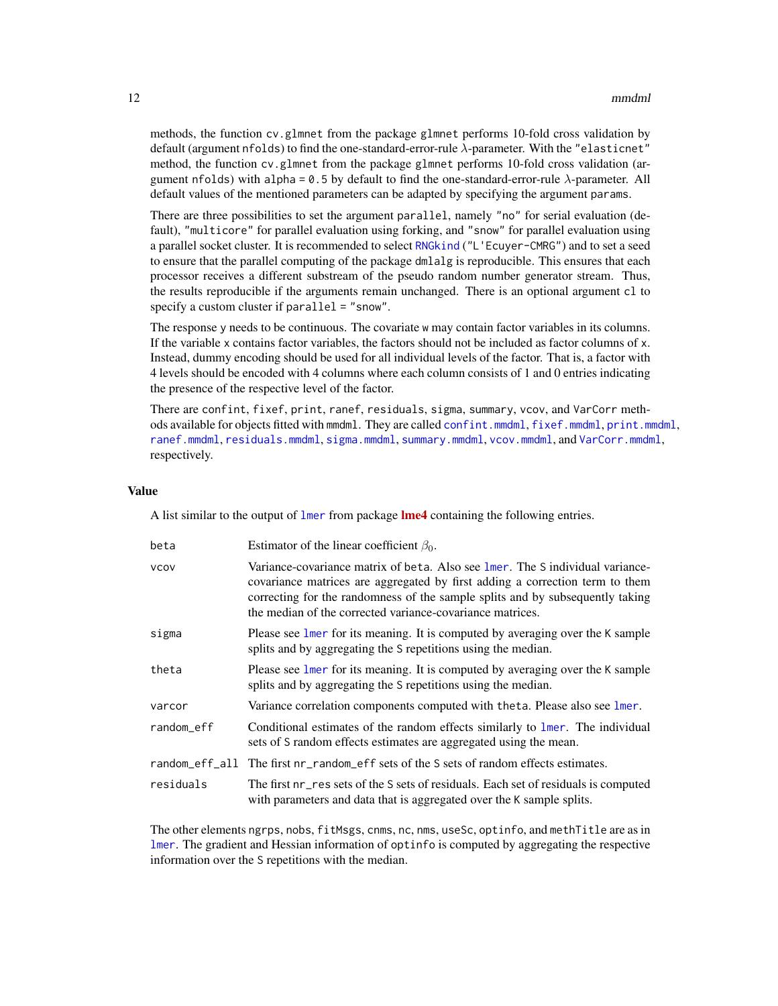<span id="page-11-0"></span>methods, the function cv.glmnet from the package glmnet performs 10-fold cross validation by default (argument nfolds) to find the one-standard-error-rule  $\lambda$ -parameter. With the "elasticnet" method, the function cv.glmnet from the package glmnet performs 10-fold cross validation (argument nfolds) with alpha =  $0.5$  by default to find the one-standard-error-rule  $\lambda$ -parameter. All default values of the mentioned parameters can be adapted by specifying the argument params.

There are three possibilities to set the argument parallel, namely "no" for serial evaluation (default), "multicore" for parallel evaluation using forking, and "snow" for parallel evaluation using a parallel socket cluster. It is recommended to select [RNGkind](#page-0-0) ("L'Ecuyer-CMRG") and to set a seed to ensure that the parallel computing of the package dmlalg is reproducible. This ensures that each processor receives a different substream of the pseudo random number generator stream. Thus, the results reproducible if the arguments remain unchanged. There is an optional argument cl to specify a custom cluster if parallel = "snow".

The response y needs to be continuous. The covariate w may contain factor variables in its columns. If the variable x contains factor variables, the factors should not be included as factor columns of x. Instead, dummy encoding should be used for all individual levels of the factor. That is, a factor with 4 levels should be encoded with 4 columns where each column consists of 1 and 0 entries indicating the presence of the respective level of the factor.

There are confint, fixef, print, ranef, residuals, sigma, summary, vcov, and VarCorr methods available for objects fitted with mmdml. They are called [confint.mmdml](#page-2-1), [fixef.mmdml](#page-7-1), [print.mmdml](#page-12-1), [ranef.mmdml](#page-7-1), [residuals.mmdml](#page-20-1), [sigma.mmdml](#page-21-1), [summary.mmdml](#page-22-1), [vcov.mmdml](#page-7-1), and [VarCorr.mmdml](#page-7-1), respectively.

# Value

A list similar to the output of  $l$ mer from package **[lme4](https://CRAN.R-project.org/package=lme4)** containing the following entries.

| beta        | Estimator of the linear coefficient $\beta_0$ .                                                                                                                                                                                                                                                              |
|-------------|--------------------------------------------------------------------------------------------------------------------------------------------------------------------------------------------------------------------------------------------------------------------------------------------------------------|
| <b>VCOV</b> | Variance-covariance matrix of beta. Also see 1 mer. The S individual variance-<br>covariance matrices are aggregated by first adding a correction term to them<br>correcting for the randomness of the sample splits and by subsequently taking<br>the median of the corrected variance-covariance matrices. |
| sigma       | Please see lmer for its meaning. It is computed by averaging over the K sample<br>splits and by aggregating the S repetitions using the median.                                                                                                                                                              |
| theta       | Please see lmer for its meaning. It is computed by averaging over the K sample<br>splits and by aggregating the S repetitions using the median.                                                                                                                                                              |
| varcor      | Variance correlation components computed with the ta. Please also see lmer.                                                                                                                                                                                                                                  |
| random eff  | Conditional estimates of the random effects similarly to lmer. The individual<br>sets of S random effects estimates are aggregated using the mean.                                                                                                                                                           |
|             | random_eff_all The first nr_random_eff sets of the S sets of random effects estimates.                                                                                                                                                                                                                       |
| residuals   | The first nr res sets of the S sets of residuals. Each set of residuals is computed<br>with parameters and data that is aggregated over the K sample splits.                                                                                                                                                 |

The other elements ngrps, nobs, fitMsgs, cnms, nc, nms, useSc, optinfo, and methTitle are as in [lmer](#page-0-0). The gradient and Hessian information of optinfo is computed by aggregating the respective information over the S repetitions with the median.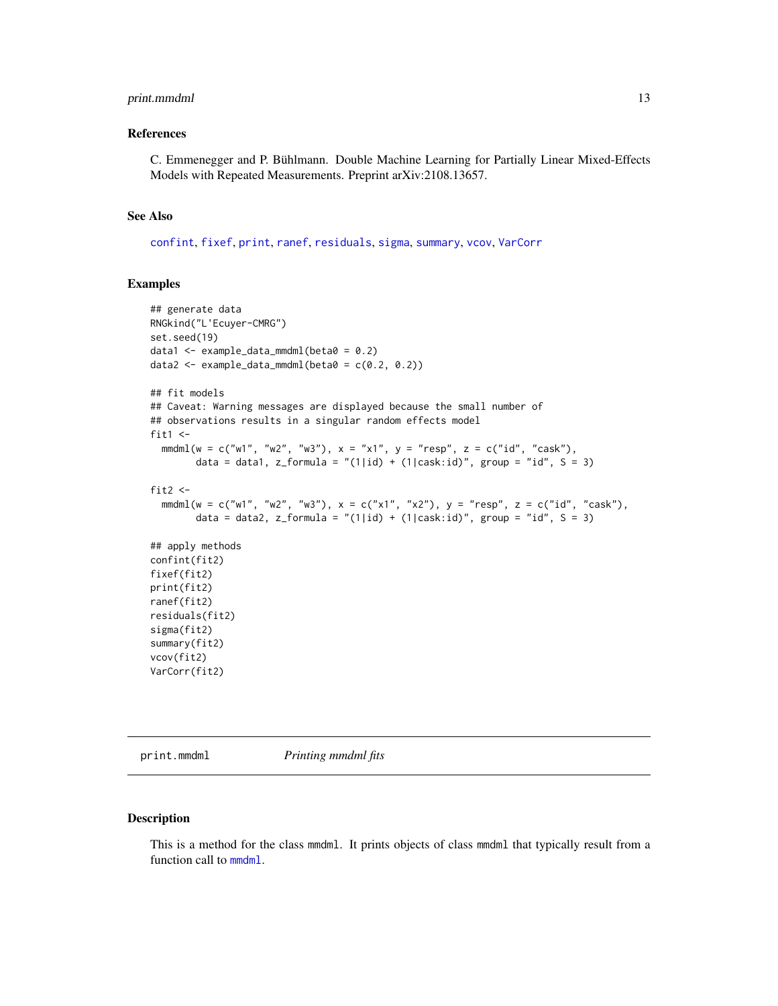# <span id="page-12-0"></span>print.mmdml 13

#### References

C. Emmenegger and P. Bühlmann. Double Machine Learning for Partially Linear Mixed-Effects Models with Repeated Measurements. Preprint arXiv:2108.13657.

# See Also

[confint](#page-0-0), [fixef](#page-7-1), [print](#page-0-0), [ranef](#page-7-1), [residuals](#page-0-0), [sigma](#page-0-0), [summary](#page-0-0), [vcov](#page-7-1), [VarCorr](#page-7-1)

#### Examples

```
## generate data
RNGkind("L'Ecuyer-CMRG")
set.seed(19)
data1 <- example_data_mmdml(beta0 = 0.2)
data2 <- example_data_mmdml(beta0 = c(0.2, 0.2))
## fit models
## Caveat: Warning messages are displayed because the small number of
## observations results in a singular random effects model
fit1 \leftarrowmmdm1(w = c("w1", "w2", "w3"), x = "x1", y = "resp", z = c("id", "cask"),data = data1, z_formula = "(1|id) + (1|cask:id)", group = "id", S = 3)
fit2 \leftarrowmmdml(w = c("w1", "w2", "w3"), x = c("x1", "x2"), y = "resp", z = c("id", "cask"),
        data = data2, z_formula = "(1|id) + (1|cask:id)", group = "id", S = 3)
## apply methods
confint(fit2)
fixef(fit2)
print(fit2)
ranef(fit2)
residuals(fit2)
sigma(fit2)
summary(fit2)
vcov(fit2)
VarCorr(fit2)
```
<span id="page-12-1"></span>print.mmdml *Printing mmdml fits*

# Description

This is a method for the class mmdml. It prints objects of class mmdml that typically result from a function call to [mmdml](#page-8-1).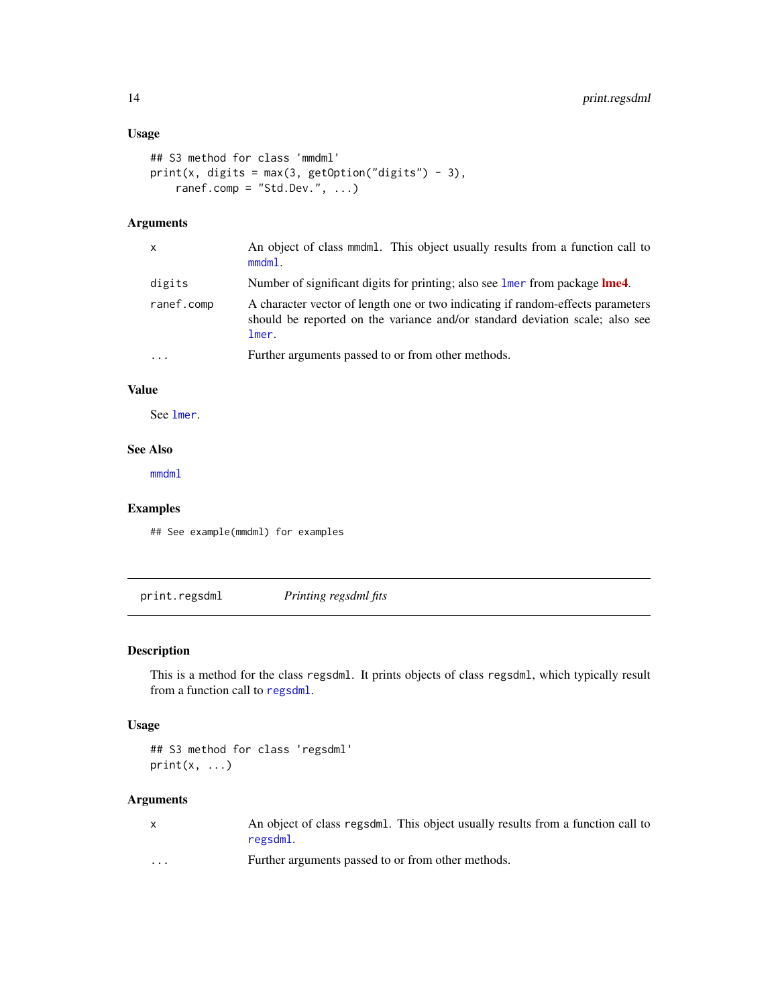# <span id="page-13-0"></span>Usage

```
## S3 method for class 'mmdml'
print(x, digits = max(3, getOption("digits") - 3),ranef.comp = "Std.Dev.", ...)
```
# Arguments

| x          | An object of class mmdml. This object usually results from a function call to<br>$mmdm1$ .                                                                               |
|------------|--------------------------------------------------------------------------------------------------------------------------------------------------------------------------|
| digits     | Number of significant digits for printing; also see lmer from package lme4.                                                                                              |
| ranef.comp | A character vector of length one or two indicating if random-effects parameters<br>should be reported on the variance and/or standard deviation scale; also see<br>lmer. |
| .          | Further arguments passed to or from other methods.                                                                                                                       |

# Value

See [lmer](#page-0-0).

# See Also

[mmdml](#page-8-1)

# Examples

## See example(mmdml) for examples

<span id="page-13-1"></span>print.regsdml *Printing regsdml fits*

# Description

This is a method for the class regsdml. It prints objects of class regsdml, which typically result from a function call to [regsdml](#page-14-1).

# Usage

## S3 method for class 'regsdml'  $print(x, \ldots)$ 

# Arguments

| An object of class regsdml. This object usually results from a function call to |  |  |
|---------------------------------------------------------------------------------|--|--|
| regsdml.                                                                        |  |  |

... Further arguments passed to or from other methods.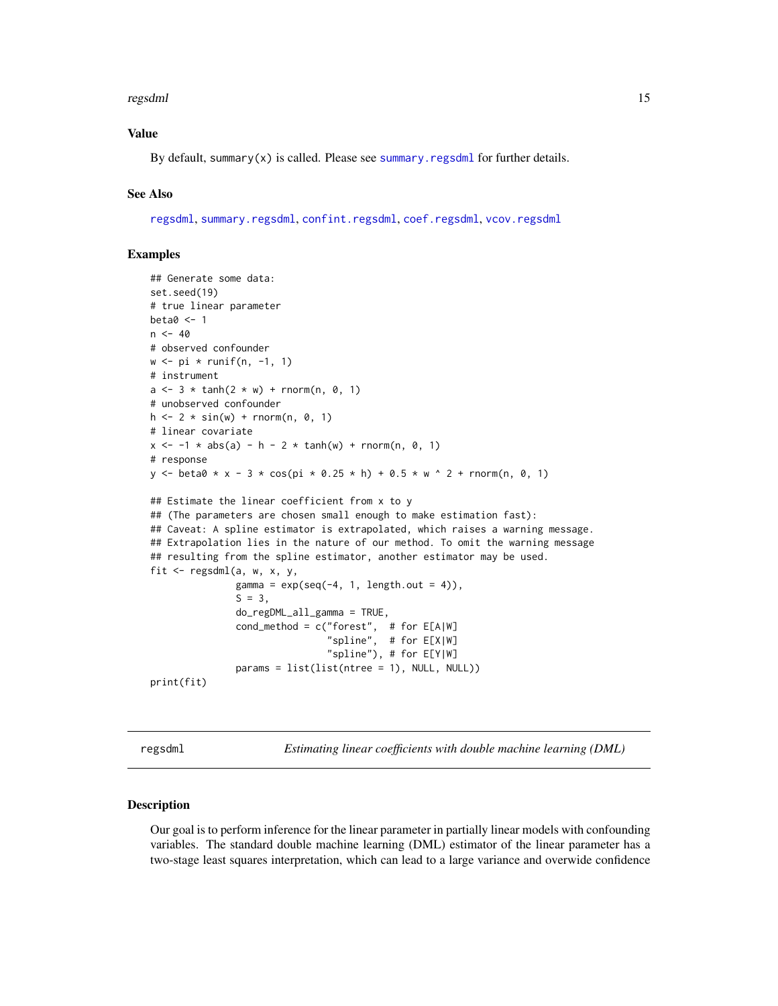#### <span id="page-14-0"></span>regsdml i 15

# Value

By default, summary(x) is called. Please see [summary.regsdml](#page-23-1) for further details.

# See Also

[regsdml](#page-14-1), [summary.regsdml](#page-23-1), [confint.regsdml](#page-3-1), [coef.regsdml](#page-1-1), [vcov.regsdml](#page-24-1)

# Examples

```
## Generate some data:
set.seed(19)
# true linear parameter
beta0 <- 1
n < -40# observed confounder
w \leftarrow pi * runif(n, -1, 1)# instrument
a \le -3 * \tanh(2 * w) + \text{rnorm}(n, 0, 1)# unobserved confounder
h \le -2 * sin(w) + rnorm(n, 0, 1)# linear covariate
x \le -1 * abs(a) - h - 2 * tanh(w) + rnorm(n, 0, 1)# response
y <- beta0 * x - 3 * cos(pi * 0.25 * h) + 0.5 * w ^ 2 + rnorm(n, 0, 1)
## Estimate the linear coefficient from x to y
## (The parameters are chosen small enough to make estimation fast):
## Caveat: A spline estimator is extrapolated, which raises a warning message.
## Extrapolation lies in the nature of our method. To omit the warning message
## resulting from the spline estimator, another estimator may be used.
fit \leq regsdml(a, w, x, y,
               gamma = exp(seq(-4, 1, length.out = 4)),S = 3,
               do_regDML_all_gamma = TRUE,
               cond_method = c("forest", # for E[A|W]"spline", # for E[X|W]
                                "spline"), # for E[Y|W]
               params = list(list(ntree = 1), NULL, NULL))
print(fit)
```
<span id="page-14-1"></span>regsdml *Estimating linear coefficients with double machine learning (DML)*

#### Description

Our goal is to perform inference for the linear parameter in partially linear models with confounding variables. The standard double machine learning (DML) estimator of the linear parameter has a two-stage least squares interpretation, which can lead to a large variance and overwide confidence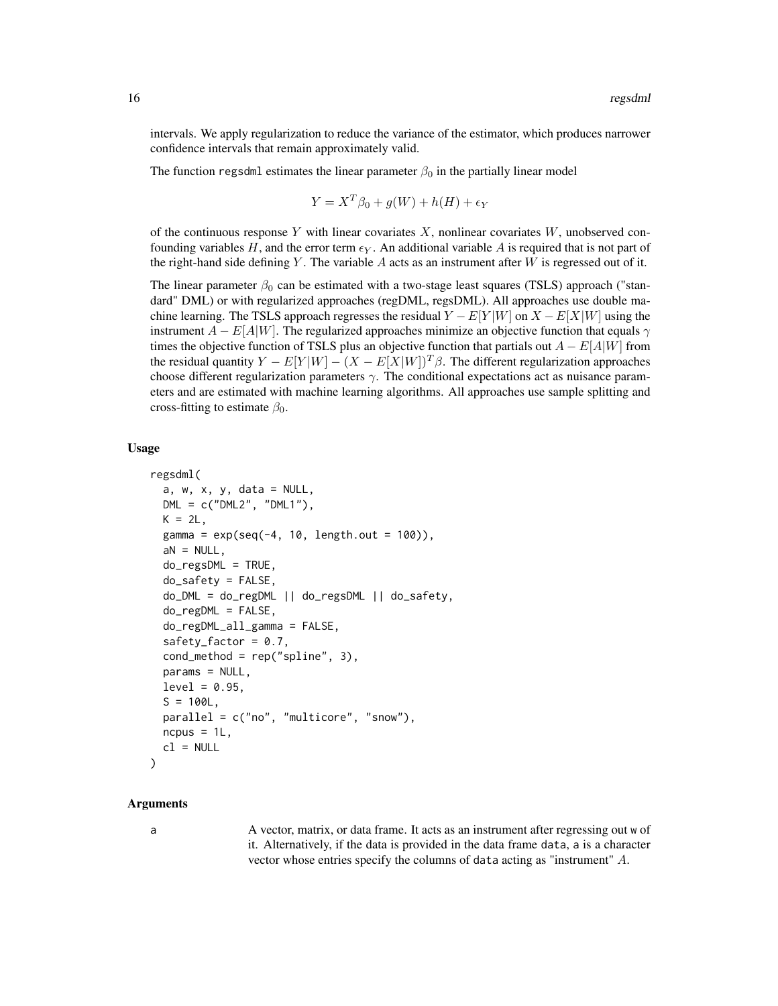intervals. We apply regularization to reduce the variance of the estimator, which produces narrower confidence intervals that remain approximately valid.

The function regsdml estimates the linear parameter  $\beta_0$  in the partially linear model

$$
Y = X^T \beta_0 + g(W) + h(H) + \epsilon_Y
$$

of the continuous response Y with linear covariates  $X$ , nonlinear covariates  $W$ , unobserved confounding variables H, and the error term  $\epsilon_Y$ . An additional variable A is required that is not part of the right-hand side defining Y. The variable  $A$  acts as an instrument after  $W$  is regressed out of it.

The linear parameter  $\beta_0$  can be estimated with a two-stage least squares (TSLS) approach ("standard" DML) or with regularized approaches (regDML, regsDML). All approaches use double machine learning. The TSLS approach regresses the residual  $Y - E[Y|W]$  on  $X - E[X|W]$  using the instrument  $A - E[A|W]$ . The regularized approaches minimize an objective function that equals  $\gamma$ times the objective function of TSLS plus an objective function that partials out  $A - E[A|W]$  from the residual quantity  $Y - E[Y|W] - (X - E[X|W])^T \beta$ . The different regularization approaches choose different regularization parameters  $\gamma$ . The conditional expectations act as nuisance parameters and are estimated with machine learning algorithms. All approaches use sample splitting and cross-fitting to estimate  $\beta_0$ .

# Usage

```
regsdml(
  a, w, x, y, data = NULL,DML = c('DML2", "DML1"),K = 2L.
  gamma = exp(seq(-4, 10, length.out = 100)),aN = NULL,do_regsDML = TRUE,
  do_safety = FALSE,
  do_DML = do_regDML || do_regsDML || do_safety,
  do_regDML = FALSE,
  do_regDML_all_gamma = FALSE,
  safety_factor = 0.7,
  cond_method = rep("spline", 3),
  params = NULL,
  level = 0.95,
  S = 100L,
  parallel = c("no", "multicore", "snow"),
  ncpus = 1L,
  cl = NULL)
```
#### Arguments

$$
\overline{a}
$$

a A vector, matrix, or data frame. It acts as an instrument after regressing out w of it. Alternatively, if the data is provided in the data frame data, a is a character vector whose entries specify the columns of data acting as "instrument" A.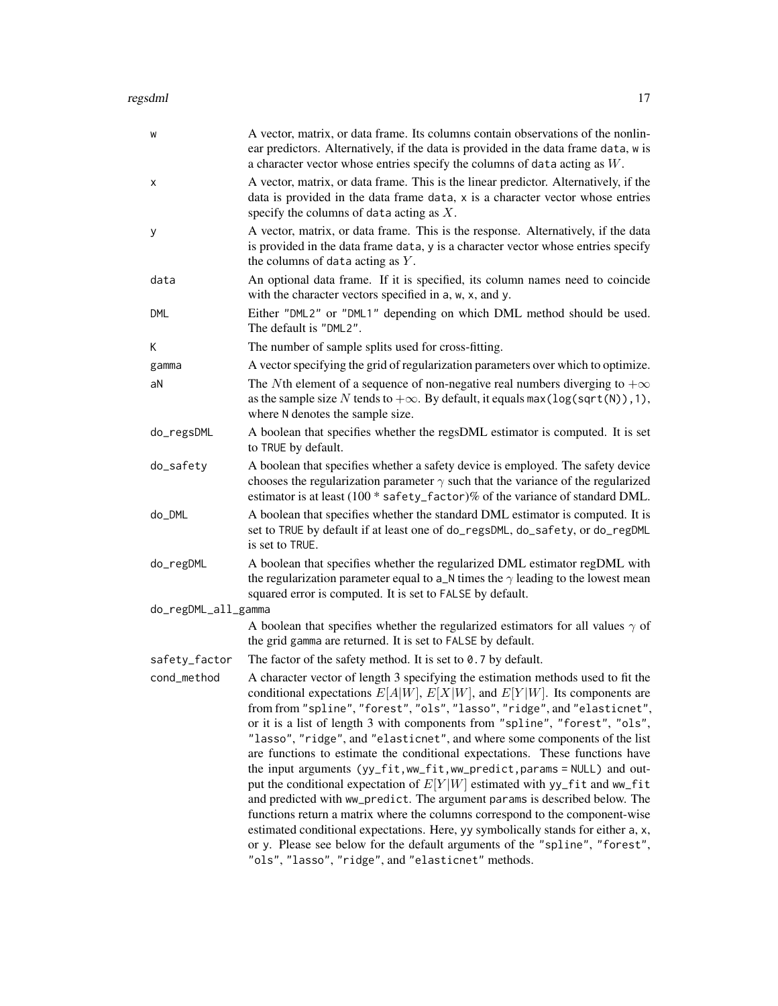#### regsdml 17

| W                   | A vector, matrix, or data frame. Its columns contain observations of the nonlin-<br>ear predictors. Alternatively, if the data is provided in the data frame data, w is<br>a character vector whose entries specify the columns of data acting as $W$ .                                                                                                                                                                                                                                                                                                                                                                                                                                                                                                                                                                                                                                                                                                                                    |
|---------------------|--------------------------------------------------------------------------------------------------------------------------------------------------------------------------------------------------------------------------------------------------------------------------------------------------------------------------------------------------------------------------------------------------------------------------------------------------------------------------------------------------------------------------------------------------------------------------------------------------------------------------------------------------------------------------------------------------------------------------------------------------------------------------------------------------------------------------------------------------------------------------------------------------------------------------------------------------------------------------------------------|
| x                   | A vector, matrix, or data frame. This is the linear predictor. Alternatively, if the<br>data is provided in the data frame data, x is a character vector whose entries<br>specify the columns of data acting as $X$ .                                                                                                                                                                                                                                                                                                                                                                                                                                                                                                                                                                                                                                                                                                                                                                      |
| у                   | A vector, matrix, or data frame. This is the response. Alternatively, if the data<br>is provided in the data frame data, y is a character vector whose entries specify<br>the columns of data acting as $Y$ .                                                                                                                                                                                                                                                                                                                                                                                                                                                                                                                                                                                                                                                                                                                                                                              |
| data                | An optional data frame. If it is specified, its column names need to coincide<br>with the character vectors specified in a, w, x, and y.                                                                                                                                                                                                                                                                                                                                                                                                                                                                                                                                                                                                                                                                                                                                                                                                                                                   |
| DML                 | Either "DML2" or "DML1" depending on which DML method should be used.<br>The default is "DML2".                                                                                                                                                                                                                                                                                                                                                                                                                                                                                                                                                                                                                                                                                                                                                                                                                                                                                            |
| K                   | The number of sample splits used for cross-fitting.                                                                                                                                                                                                                                                                                                                                                                                                                                                                                                                                                                                                                                                                                                                                                                                                                                                                                                                                        |
| gamma               | A vector specifying the grid of regularization parameters over which to optimize.                                                                                                                                                                                                                                                                                                                                                                                                                                                                                                                                                                                                                                                                                                                                                                                                                                                                                                          |
| aN                  | The Nth element of a sequence of non-negative real numbers diverging to $+\infty$<br>as the sample size N tends to $+\infty$ . By default, it equals max (log(sqrt(N)), 1),<br>where N denotes the sample size.                                                                                                                                                                                                                                                                                                                                                                                                                                                                                                                                                                                                                                                                                                                                                                            |
| do_regsDML          | A boolean that specifies whether the regsDML estimator is computed. It is set<br>to TRUE by default.                                                                                                                                                                                                                                                                                                                                                                                                                                                                                                                                                                                                                                                                                                                                                                                                                                                                                       |
| do_safety           | A boolean that specifies whether a safety device is employed. The safety device<br>chooses the regularization parameter $\gamma$ such that the variance of the regularized<br>estimator is at least (100 * safety_factor)% of the variance of standard DML.                                                                                                                                                                                                                                                                                                                                                                                                                                                                                                                                                                                                                                                                                                                                |
| do_DML              | A boolean that specifies whether the standard DML estimator is computed. It is<br>set to TRUE by default if at least one of do_regsDML, do_safety, or do_regDML<br>is set to TRUE.                                                                                                                                                                                                                                                                                                                                                                                                                                                                                                                                                                                                                                                                                                                                                                                                         |
| do_regDML           | A boolean that specifies whether the regularized DML estimator regDML with<br>the regularization parameter equal to $a_N$ times the $\gamma$ leading to the lowest mean<br>squared error is computed. It is set to FALSE by default.                                                                                                                                                                                                                                                                                                                                                                                                                                                                                                                                                                                                                                                                                                                                                       |
| do_regDML_all_gamma |                                                                                                                                                                                                                                                                                                                                                                                                                                                                                                                                                                                                                                                                                                                                                                                                                                                                                                                                                                                            |
|                     | A boolean that specifies whether the regularized estimators for all values $\gamma$ of<br>the grid gamma are returned. It is set to FALSE by default.                                                                                                                                                                                                                                                                                                                                                                                                                                                                                                                                                                                                                                                                                                                                                                                                                                      |
| safety_factor       | The factor of the safety method. It is set to $0.7$ by default.                                                                                                                                                                                                                                                                                                                                                                                                                                                                                                                                                                                                                                                                                                                                                                                                                                                                                                                            |
| cond_method         | A character vector of length 3 specifying the estimation methods used to fit the<br>conditional expectations $E[A W]$ , $E[X W]$ , and $E[Y W]$ . Its components are<br>from from "spline", "forest", "ols", "lasso", "ridge", and "elasticnet",<br>or it is a list of length 3 with components from "spline", "forest", "ols",<br>"lasso", "ridge", and "elasticnet", and where some components of the list<br>are functions to estimate the conditional expectations. These functions have<br>the input arguments (yy_fit, ww_fit, ww_predict, params = NULL) and out-<br>put the conditional expectation of $E[Y W]$ estimated with yy_fit and ww_fit<br>and predicted with ww_predict. The argument params is described below. The<br>functions return a matrix where the columns correspond to the component-wise<br>estimated conditional expectations. Here, yy symbolically stands for either a, x,<br>or y. Please see below for the default arguments of the "spline", "forest", |
|                     | "ols", "lasso", "ridge", and "elasticnet" methods.                                                                                                                                                                                                                                                                                                                                                                                                                                                                                                                                                                                                                                                                                                                                                                                                                                                                                                                                         |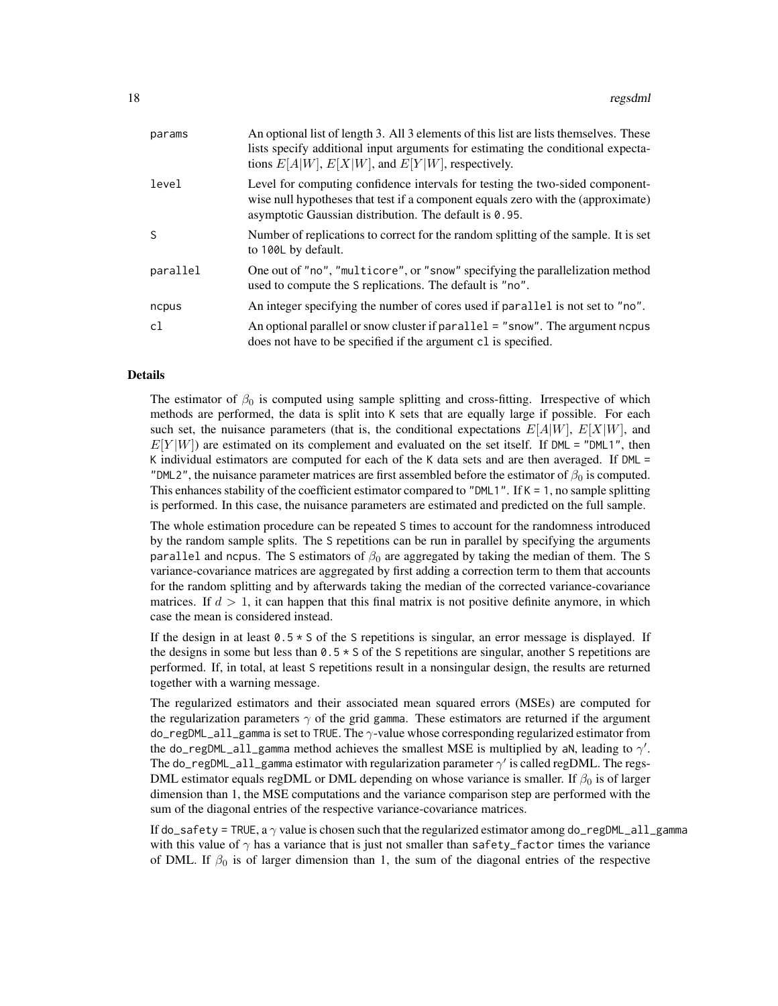| params   | An optional list of length 3. All 3 elements of this list are lists themselves. These<br>lists specify additional input arguments for estimating the conditional expecta-<br>tions $E[A W]$ , $E[X W]$ , and $E[Y W]$ , respectively. |
|----------|---------------------------------------------------------------------------------------------------------------------------------------------------------------------------------------------------------------------------------------|
| level    | Level for computing confidence intervals for testing the two-sided component-<br>wise null hypotheses that test if a component equals zero with the (approximate)<br>asymptotic Gaussian distribution. The default is 0.95.           |
| S        | Number of replications to correct for the random splitting of the sample. It is set<br>to 100L by default.                                                                                                                            |
| parallel | One out of "no", "multicore", or "snow" specifying the parallelization method<br>used to compute the S replications. The default is "no".                                                                                             |
| ncpus    | An integer specifying the number of cores used if parallel is not set to "no".                                                                                                                                                        |
| c1       | An optional parallel or snow cluster if parallel = "snow". The argument nepus<br>does not have to be specified if the argument cl is specified.                                                                                       |

#### Details

The estimator of  $\beta_0$  is computed using sample splitting and cross-fitting. Irrespective of which methods are performed, the data is split into K sets that are equally large if possible. For each such set, the nuisance parameters (that is, the conditional expectations  $E[A|W]$ ,  $E[X|W]$ , and  $E[Y|W]$ ) are estimated on its complement and evaluated on the set itself. If DML = "DML1", then K individual estimators are computed for each of the K data sets and are then averaged. If DML = "DML2", the nuisance parameter matrices are first assembled before the estimator of  $\beta_0$  is computed. This enhances stability of the coefficient estimator compared to "DML1". If  $K = 1$ , no sample splitting is performed. In this case, the nuisance parameters are estimated and predicted on the full sample.

The whole estimation procedure can be repeated S times to account for the randomness introduced by the random sample splits. The S repetitions can be run in parallel by specifying the arguments parallel and ncpus. The S estimators of  $\beta_0$  are aggregated by taking the median of them. The S variance-covariance matrices are aggregated by first adding a correction term to them that accounts for the random splitting and by afterwards taking the median of the corrected variance-covariance matrices. If  $d > 1$ , it can happen that this final matrix is not positive definite anymore, in which case the mean is considered instead.

If the design in at least  $0.5 \times S$  of the S repetitions is singular, an error message is displayed. If the designs in some but less than  $0.5 \times S$  of the S repetitions are singular, another S repetitions are performed. If, in total, at least S repetitions result in a nonsingular design, the results are returned together with a warning message.

The regularized estimators and their associated mean squared errors (MSEs) are computed for the regularization parameters  $\gamma$  of the grid gamma. These estimators are returned if the argument do\_regDML\_all\_gamma is set to TRUE. The γ-value whose corresponding regularized estimator from the do\_regDML\_all\_gamma method achieves the smallest MSE is multiplied by aN, leading to  $\gamma'$ . The do\_regDML\_all\_gamma estimator with regularization parameter  $\gamma'$  is called regDML. The regs-DML estimator equals regDML or DML depending on whose variance is smaller. If  $\beta_0$  is of larger dimension than 1, the MSE computations and the variance comparison step are performed with the sum of the diagonal entries of the respective variance-covariance matrices.

If do\_safety = TRUE, a  $\gamma$  value is chosen such that the regularized estimator among do\_regDML\_all\_gamma with this value of  $\gamma$  has a variance that is just not smaller than safety\_factor times the variance of DML. If  $\beta_0$  is of larger dimension than 1, the sum of the diagonal entries of the respective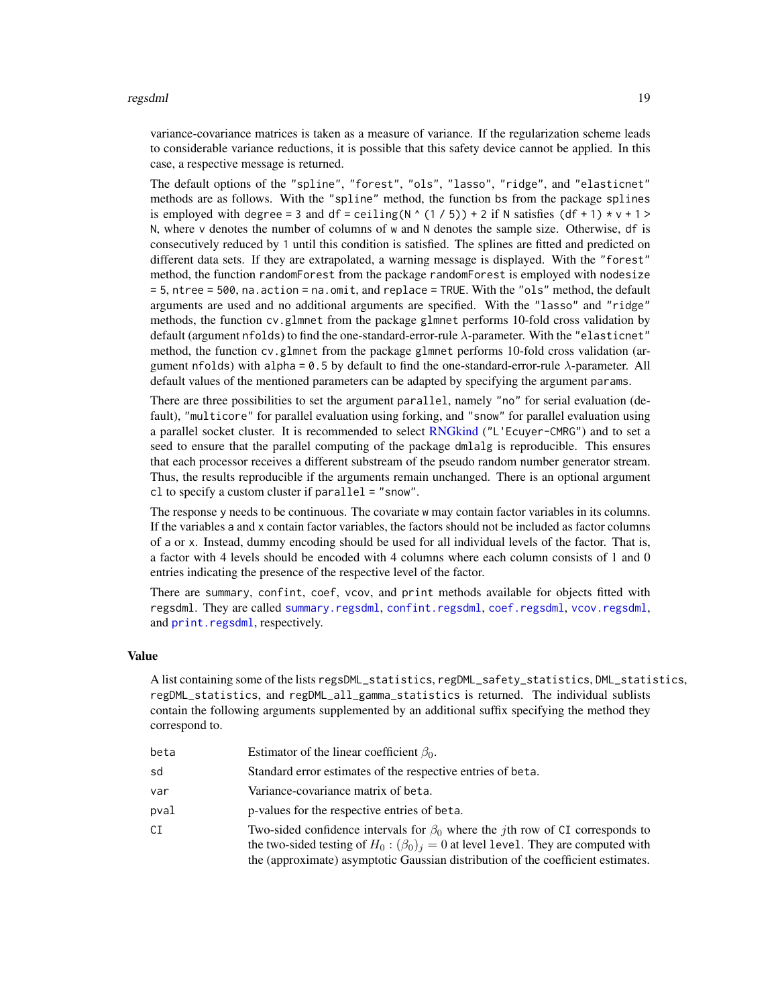#### <span id="page-18-0"></span>regsdml and the contract of the contract of the contract of the contract of the contract of the contract of the contract of the contract of the contract of the contract of the contract of the contract of the contract of th

variance-covariance matrices is taken as a measure of variance. If the regularization scheme leads to considerable variance reductions, it is possible that this safety device cannot be applied. In this case, a respective message is returned.

The default options of the "spline", "forest", "ols", "lasso", "ridge", and "elasticnet" methods are as follows. With the "spline" method, the function bs from the package splines is employed with degree = 3 and df = ceiling( $N \ (1/5)$ ) + 2 if N satisfies (df + 1)  $\star$  v + 1 > N, where v denotes the number of columns of w and N denotes the sample size. Otherwise, df is consecutively reduced by 1 until this condition is satisfied. The splines are fitted and predicted on different data sets. If they are extrapolated, a warning message is displayed. With the "forest" method, the function randomForest from the package randomForest is employed with nodesize = 5, ntree = 500, na.action = na.omit, and replace = TRUE. With the "ols" method, the default arguments are used and no additional arguments are specified. With the "lasso" and "ridge" methods, the function cv.glmnet from the package glmnet performs 10-fold cross validation by default (argument nfolds) to find the one-standard-error-rule  $\lambda$ -parameter. With the "elasticnet" method, the function cv.glmnet from the package glmnet performs 10-fold cross validation (argument nfolds) with alpha = 0.5 by default to find the one-standard-error-rule  $\lambda$ -parameter. All default values of the mentioned parameters can be adapted by specifying the argument params.

There are three possibilities to set the argument parallel, namely "no" for serial evaluation (default), "multicore" for parallel evaluation using forking, and "snow" for parallel evaluation using a parallel socket cluster. It is recommended to select [RNGkind](#page-0-0) ("L'Ecuyer-CMRG") and to set a seed to ensure that the parallel computing of the package dmlalg is reproducible. This ensures that each processor receives a different substream of the pseudo random number generator stream. Thus, the results reproducible if the arguments remain unchanged. There is an optional argument cl to specify a custom cluster if parallel = "snow".

The response y needs to be continuous. The covariate w may contain factor variables in its columns. If the variables a and x contain factor variables, the factors should not be included as factor columns of a or x. Instead, dummy encoding should be used for all individual levels of the factor. That is, a factor with 4 levels should be encoded with 4 columns where each column consists of 1 and 0 entries indicating the presence of the respective level of the factor.

There are summary, confint, coef, vcov, and print methods available for objects fitted with regsdml. They are called [summary.regsdml](#page-23-1), [confint.regsdml](#page-3-1), [coef.regsdml](#page-1-1), [vcov.regsdml](#page-24-1), and [print.regsdml](#page-13-1), respectively.

#### Value

A list containing some of the lists regsDML\_statistics, regDML\_safety\_statistics, DML\_statistics, regDML\_statistics, and regDML\_all\_gamma\_statistics is returned. The individual sublists contain the following arguments supplemented by an additional suffix specifying the method they correspond to.

| beta | Estimator of the linear coefficient $\beta_0$ .                                                                                                                                                                                                                              |
|------|------------------------------------------------------------------------------------------------------------------------------------------------------------------------------------------------------------------------------------------------------------------------------|
| sd   | Standard error estimates of the respective entries of beta.                                                                                                                                                                                                                  |
| var  | Variance-covariance matrix of beta.                                                                                                                                                                                                                                          |
| pval | p-values for the respective entries of beta.                                                                                                                                                                                                                                 |
| СI   | Two-sided confidence intervals for $\beta_0$ where the <i>j</i> th row of CI corresponds to<br>the two-sided testing of $H_0$ : $(\beta_0)_i = 0$ at level level. They are computed with<br>the (approximate) asymptotic Gaussian distribution of the coefficient estimates. |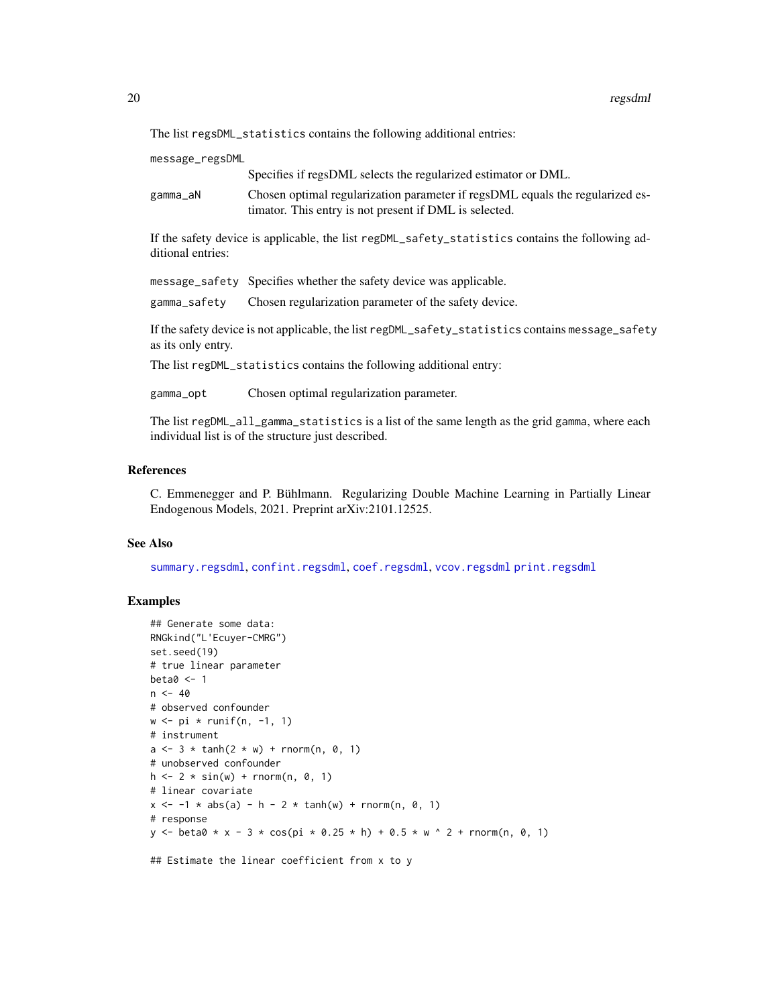<span id="page-19-0"></span>The list regsDML\_statistics contains the following additional entries:

message\_regsDML

Specifies if regsDML selects the regularized estimator or DML.

gamma\_aN Chosen optimal regularization parameter if regsDML equals the regularized estimator. This entry is not present if DML is selected.

If the safety device is applicable, the list regDML\_safety\_statistics contains the following additional entries:

message\_safety Specifies whether the safety device was applicable.

gamma\_safety Chosen regularization parameter of the safety device.

If the safety device is not applicable, the list regDML\_safety\_statistics contains message\_safety as its only entry.

The list regDML\_statistics contains the following additional entry:

gamma\_opt Chosen optimal regularization parameter.

The list regDML\_all\_gamma\_statistics is a list of the same length as the grid gamma, where each individual list is of the structure just described.

# References

C. Emmenegger and P. Bühlmann. Regularizing Double Machine Learning in Partially Linear Endogenous Models, 2021. Preprint arXiv:2101.12525.

# See Also

[summary.regsdml](#page-23-1), [confint.regsdml](#page-3-1), [coef.regsdml](#page-1-1), [vcov.regsdml](#page-24-1) [print.regsdml](#page-13-1)

# Examples

```
## Generate some data:
RNGkind("L'Ecuyer-CMRG")
set.seed(19)
# true linear parameter
beta0 < -1n < -40# observed confounder
w \leq -pi \ * runif(n, -1, 1)# instrument
a \le -3 * \tanh(2 * w) + \text{rnorm}(n, 0, 1)# unobserved confounder
h \le -2 * sin(w) + rnorm(n, 0, 1)# linear covariate
x \le -1 * abs(a) - h - 2 * tanh(w) + rnorm(n, 0, 1)# response
y <- beta0 * x - 3 * cos(pi * 0.25 * h) + 0.5 * w ^ 2 + rnorm(n, 0, 1)
```
## Estimate the linear coefficient from x to y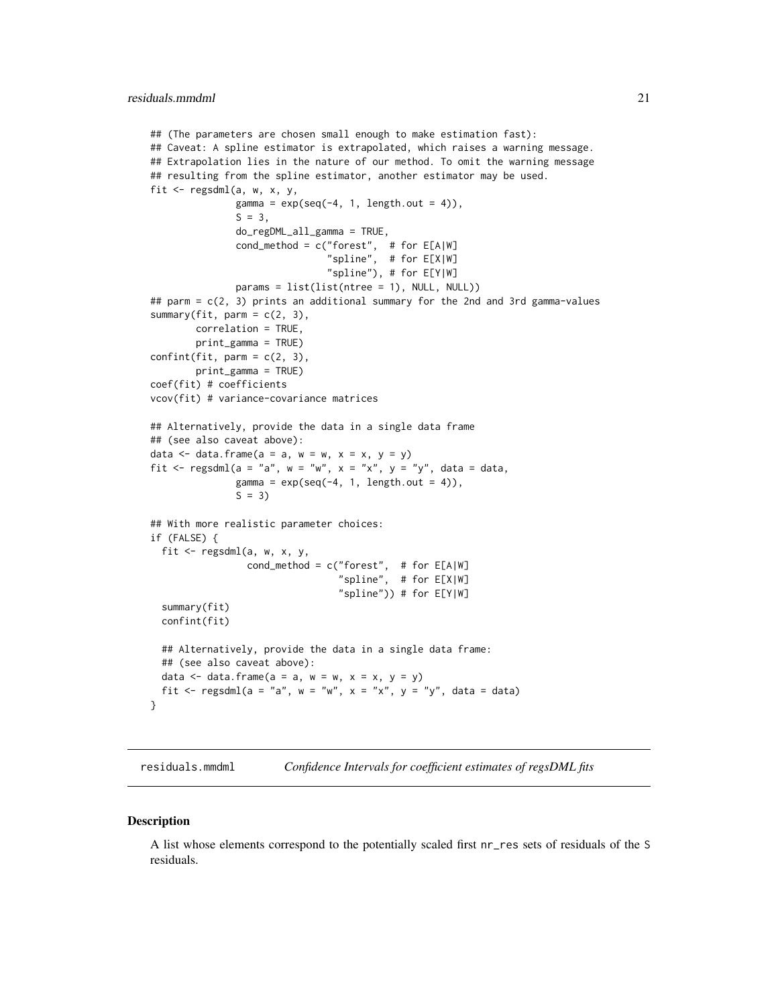```
## (The parameters are chosen small enough to make estimation fast):
## Caveat: A spline estimator is extrapolated, which raises a warning message.
## Extrapolation lies in the nature of our method. To omit the warning message
## resulting from the spline estimator, another estimator may be used.
fit <- regsdml(a, w, x, y,
               gamma = exp(seq(-4, 1, length.out = 4)),S = 3,do_regDML_all_gamma = TRUE,
               cond_method = c("forest", # for E[A|W]"spline", # for E[X|W]
                               "spline"), # for E[Y|W]
               params = list(list(ntree = 1), NULL, NULL))
## parm = c(2, 3) prints an additional summary for the 2nd and 3rd gamma-values
summary(fit, \text{parm} = c(2, 3),
        correlation = TRUE,
        print_gamma = TRUE)
confint(fit, parm = c(2, 3),print_gamma = TRUE)
coef(fit) # coefficients
vcov(fit) # variance-covariance matrices
## Alternatively, provide the data in a single data frame
## (see also caveat above):
data \leq data.frame(a = a, w = w, x = x, y = y)
fit <- regsdml(a = "a", w = "w", x = "x", y = "y", data = data,
               gamma = exp(seq(-4, 1, length.out = 4)),S = 3## With more realistic parameter choices:
if (FALSE) {
 fit \leq regsdml(a, w, x, y,
                 cond_method = c("forest", # for E[A|W]"spline", # for E[X|W]
                                 "spline")) # for E[Y|W]
 summary(fit)
 confint(fit)
 ## Alternatively, provide the data in a single data frame:
 ## (see also caveat above):
 data \leq data.frame(a = a, w = w, x = x, y = y)
 fit <- regsdml(a = "a", w = "w", x = "x", y = "y", data = data)
}
```
<span id="page-20-1"></span>residuals.mmdml *Confidence Intervals for coefficient estimates of regsDML fits*

#### **Description**

A list whose elements correspond to the potentially scaled first nr\_res sets of residuals of the S residuals.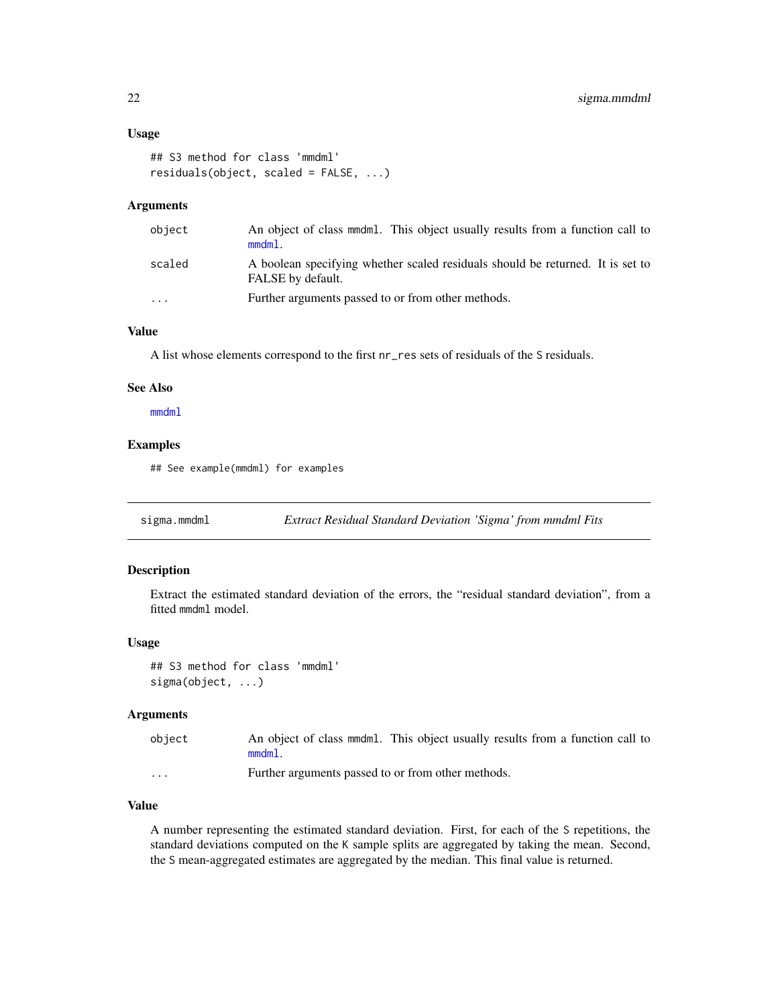# <span id="page-21-0"></span>Usage

```
## S3 method for class 'mmdml'
residuals(object, scaled = FALSE, ...)
```
# Arguments

| object | An object of class mmdml. This object usually results from a function call to<br>$mmdm1$ .          |
|--------|-----------------------------------------------------------------------------------------------------|
| scaled | A boolean specifying whether scaled residuals should be returned. It is set to<br>FALSE by default. |
| .      | Further arguments passed to or from other methods.                                                  |

# Value

A list whose elements correspond to the first nr\_res sets of residuals of the S residuals.

#### See Also

[mmdml](#page-8-1)

# Examples

## See example(mmdml) for examples

<span id="page-21-1"></span>sigma.mmdml *Extract Residual Standard Deviation 'Sigma' from mmdml Fits*

### Description

Extract the estimated standard deviation of the errors, the "residual standard deviation", from a fitted mmdml model.

# Usage

```
## S3 method for class 'mmdml'
sigma(object, ...)
```
# Arguments

| object | An object of class mmdml. This object usually results from a function call to |  |  |
|--------|-------------------------------------------------------------------------------|--|--|
|        | $mmdm1$ .                                                                     |  |  |

... Further arguments passed to or from other methods.

# Value

A number representing the estimated standard deviation. First, for each of the S repetitions, the standard deviations computed on the K sample splits are aggregated by taking the mean. Second, the S mean-aggregated estimates are aggregated by the median. This final value is returned.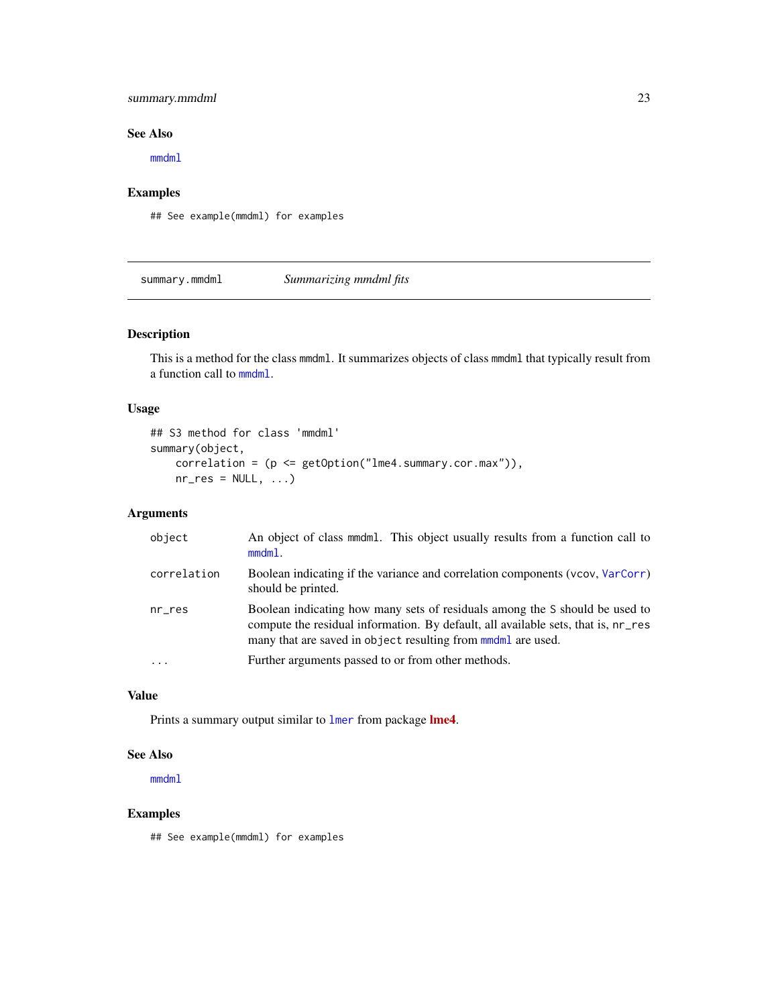# <span id="page-22-0"></span>summary.mmdml 23

# See Also

[mmdml](#page-8-1)

# Examples

## See example(mmdml) for examples

<span id="page-22-1"></span>summary.mmdml *Summarizing mmdml fits*

# Description

This is a method for the class mmdml. It summarizes objects of class mmdml that typically result from a function call to [mmdml](#page-8-1).

# Usage

```
## S3 method for class 'mmdml'
summary(object,
   correlation = (p <= getOption("lme4.summary.cor.max")),
   nr\_res = NULL, ...
```
# Arguments

| object      | An object of class mmdml. This object usually results from a function call to<br>$mmdm1$ .                                                                                                                                                 |
|-------------|--------------------------------------------------------------------------------------------------------------------------------------------------------------------------------------------------------------------------------------------|
| correlation | Boolean indicating if the variance and correlation components (vcov, VarCorr)<br>should be printed.                                                                                                                                        |
| $nr\_res$   | Boolean indicating how many sets of residuals among the S should be used to<br>compute the residual information. By default, all available sets, that is, nr_res<br>many that are saved in object resulting from mondermanderman are used. |
| $\cdots$    | Further arguments passed to or from other methods.                                                                                                                                                                                         |
|             |                                                                                                                                                                                                                                            |

# Value

Prints a summary output similar to [lmer](#page-0-0) from package [lme4](https://CRAN.R-project.org/package=lme4).

# See Also

[mmdml](#page-8-1)

# Examples

## See example(mmdml) for examples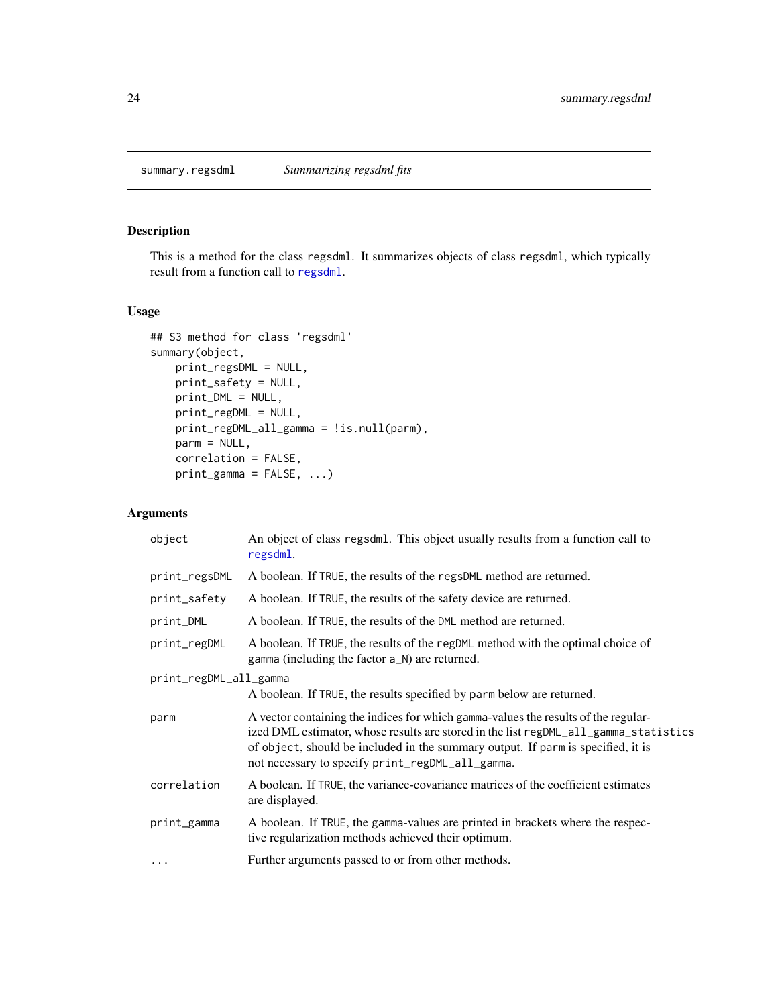# <span id="page-23-1"></span><span id="page-23-0"></span>Description

This is a method for the class regsdml. It summarizes objects of class regsdml, which typically result from a function call to [regsdml](#page-14-1).

# Usage

```
## S3 method for class 'regsdml'
summary(object,
   print_regsDML = NULL,
   print_safety = NULL,
   print_DML = NULL,
   print_regDML = NULL,
   print_regDML_all_gamma = !is.null(parm),
   parm = NULL,
   correlation = FALSE,
   print_gamma = FALSE, ...)
```
# Arguments

| object                 | An object of class regsdml. This object usually results from a function call to<br>regsdml.                                                                                                                                                                                                                        |  |
|------------------------|--------------------------------------------------------------------------------------------------------------------------------------------------------------------------------------------------------------------------------------------------------------------------------------------------------------------|--|
| print_regsDML          | A boolean. If TRUE, the results of the regsDML method are returned.                                                                                                                                                                                                                                                |  |
| print_safety           | A boolean. If TRUE, the results of the safety device are returned.                                                                                                                                                                                                                                                 |  |
| print_DML              | A boolean. If TRUE, the results of the DML method are returned.                                                                                                                                                                                                                                                    |  |
| print_regDML           | A boolean. If TRUE, the results of the regDML method with the optimal choice of<br>gamma (including the factor a_N) are returned.                                                                                                                                                                                  |  |
| print_regDML_all_gamma |                                                                                                                                                                                                                                                                                                                    |  |
|                        | A boolean. If TRUE, the results specified by parm below are returned.                                                                                                                                                                                                                                              |  |
| parm                   | A vector containing the indices for which gamma-values the results of the regular-<br>ized DML estimator, whose results are stored in the list regDML_all_gamma_statistics<br>of object, should be included in the summary output. If parm is specified, it is<br>not necessary to specify print_regDML_all_gamma. |  |
| correlation            | A boolean. If TRUE, the variance-covariance matrices of the coefficient estimates<br>are displayed.                                                                                                                                                                                                                |  |
| print_gamma            | A boolean. If TRUE, the gamma-values are printed in brackets where the respec-<br>tive regularization methods achieved their optimum.                                                                                                                                                                              |  |
| $\cdots$               | Further arguments passed to or from other methods.                                                                                                                                                                                                                                                                 |  |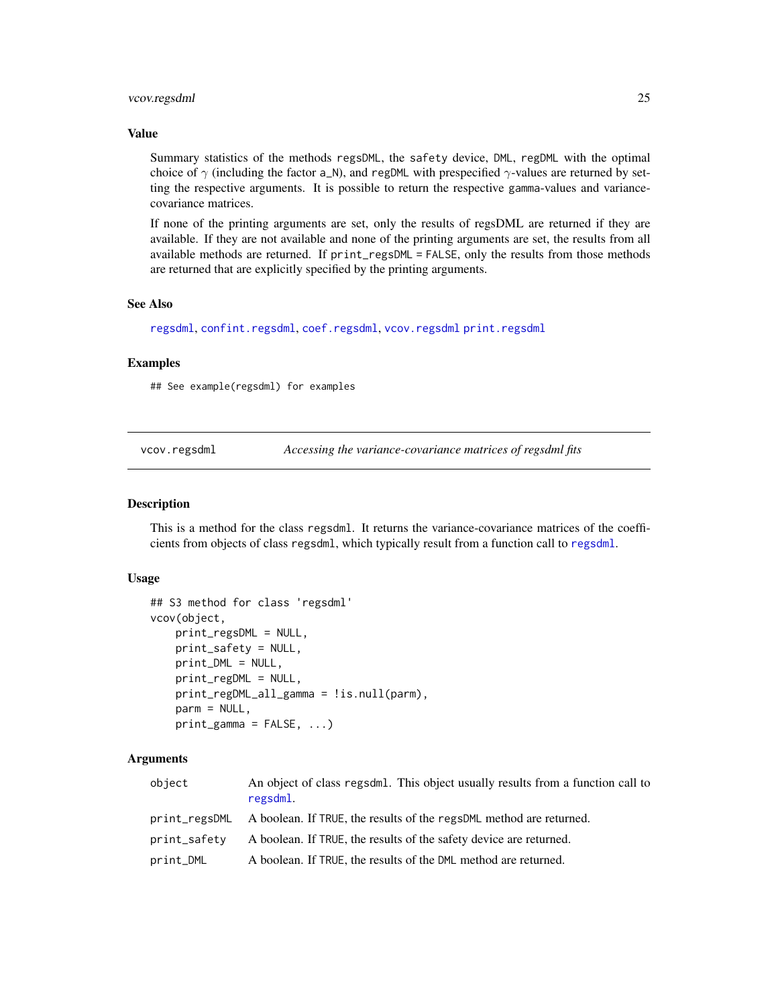# <span id="page-24-0"></span>vcov.regsdml 25

# Value

Summary statistics of the methods regsDML, the safety device, DML, regDML with the optimal choice of  $\gamma$  (including the factor a\_N), and regDML with prespecified  $\gamma$ -values are returned by setting the respective arguments. It is possible to return the respective gamma-values and variancecovariance matrices.

If none of the printing arguments are set, only the results of regsDML are returned if they are available. If they are not available and none of the printing arguments are set, the results from all available methods are returned. If print\_regsDML = FALSE, only the results from those methods are returned that are explicitly specified by the printing arguments.

#### See Also

[regsdml](#page-14-1), [confint.regsdml](#page-3-1), [coef.regsdml](#page-1-1), [vcov.regsdml](#page-24-1) [print.regsdml](#page-13-1)

# Examples

## See example(regsdml) for examples

<span id="page-24-1"></span>vcov.regsdml *Accessing the variance-covariance matrices of regsdml fits*

#### Description

This is a method for the class regsdml. It returns the variance-covariance matrices of the coefficients from objects of class regsdml, which typically result from a function call to [regsdml](#page-14-1).

#### Usage

```
## S3 method for class 'regsdml'
vcov(object,
    print_regsDML = NULL,
    print_safety = NULL,
    print_DML = NULL,
    print_regDML = NULL,
    print_regDML_all_gamma = !is.null(parm),
    \text{parm} = \text{NULL},
    print_{gamma} = FALSE, ...
```
# Arguments

| object       | An object of class regsdml. This object usually results from a function call to<br>regsdml. |
|--------------|---------------------------------------------------------------------------------------------|
|              | print_regsDML A boolean. If TRUE, the results of the regsDML method are returned.           |
| print_safety | A boolean. If TRUE, the results of the safety device are returned.                          |
| print_DML    | A boolean. If TRUE, the results of the DML method are returned.                             |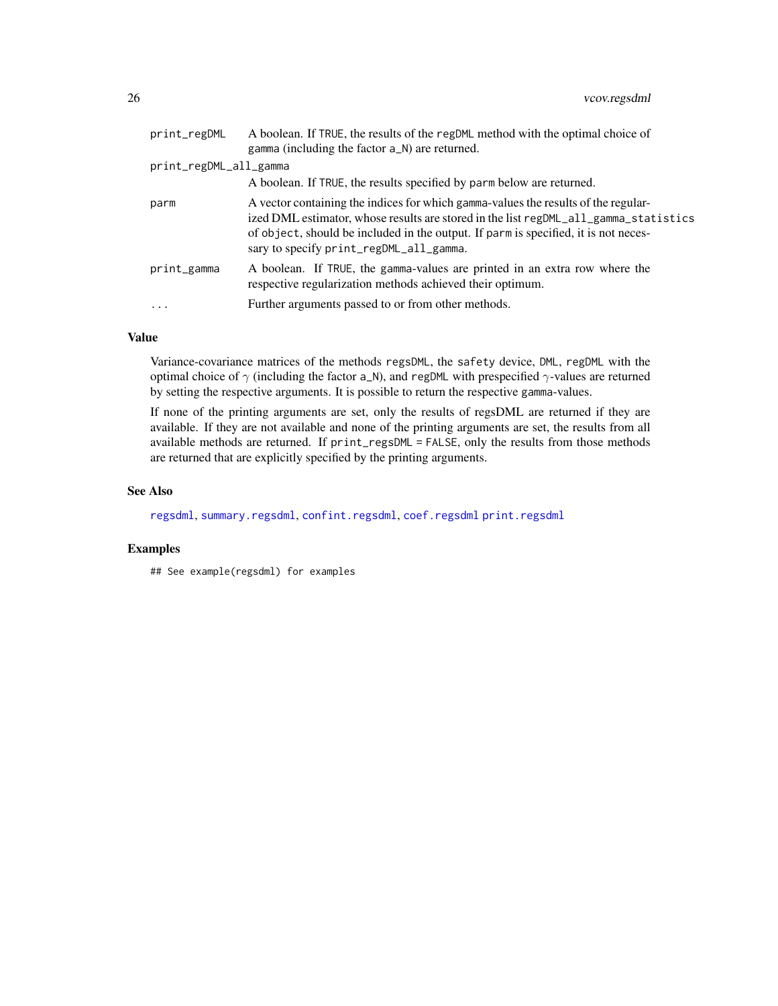<span id="page-25-0"></span>

| print_regDML           | A boolean. If TRUE, the results of the regDML method with the optimal choice of<br>gamma (including the factor a_N) are returned.                                                                                                                                                                            |
|------------------------|--------------------------------------------------------------------------------------------------------------------------------------------------------------------------------------------------------------------------------------------------------------------------------------------------------------|
| print_regDML_all_gamma |                                                                                                                                                                                                                                                                                                              |
|                        | A boolean. If TRUE, the results specified by parm below are returned.                                                                                                                                                                                                                                        |
| parm                   | A vector containing the indices for which gamma-values the results of the regular-<br>ized DML estimator, whose results are stored in the list regDML_all_gamma_statistics<br>of object, should be included in the output. If parm is specified, it is not neces-<br>sary to specify print_regDML_all_gamma. |
| print_gamma            | A boolean. If TRUE, the gamma-values are printed in an extra row where the<br>respective regularization methods achieved their optimum.                                                                                                                                                                      |
| $\ddots$               | Further arguments passed to or from other methods.                                                                                                                                                                                                                                                           |
|                        |                                                                                                                                                                                                                                                                                                              |

# Value

Variance-covariance matrices of the methods regsDML, the safety device, DML, regDML with the optimal choice of  $\gamma$  (including the factor a\_N), and regDML with prespecified  $\gamma$ -values are returned by setting the respective arguments. It is possible to return the respective gamma-values.

If none of the printing arguments are set, only the results of regsDML are returned if they are available. If they are not available and none of the printing arguments are set, the results from all available methods are returned. If print\_regsDML = FALSE, only the results from those methods are returned that are explicitly specified by the printing arguments.

# See Also

[regsdml](#page-14-1), [summary.regsdml](#page-23-1), [confint.regsdml](#page-3-1), [coef.regsdml](#page-1-1) [print.regsdml](#page-13-1)

# Examples

## See example(regsdml) for examples